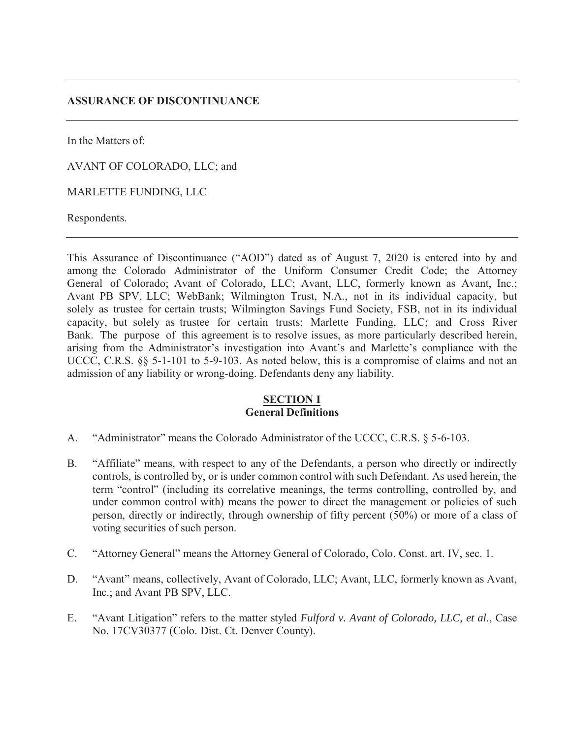# **ASSURANCE OF DISCONTINUANCE**

In the Matters of:

AVANT OF COLORADO, LLC; and

MARLETTE FUNDING, LLC

Respondents.

This Assurance of Discontinuance ("AOD") dated as of August 7, 2020 is entered into by and among the Colorado Administrator of the Uniform Consumer Credit Code; the Attorney General of Colorado; Avant of Colorado, LLC; Avant, LLC, formerly known as Avant, Inc.; Avant PB SPV, LLC; WebBank; Wilmington Trust, N.A., not in its individual capacity, but solely as trustee for certain trusts; Wilmington Savings Fund Society, FSB, not in its individual capacity, but solely as trustee for certain trusts; Marlette Funding, LLC; and Cross River Bank. The purpose of this agreement is to resolve issues, as more particularly described herein, arising from the Administrator's investigation into Avant's and Marlette's compliance with the UCCC, C.R.S. §§ 5-1-101 to 5-9-103. As noted below, this is a compromise of claims and not an admission of any liability or wrong-doing. Defendants deny any liability.

# **SECTION I General Definitions**

- A. "Administrator" means the Colorado Administrator of the UCCC, C.R.S. § 5-6-103.
- B. "Affiliate" means, with respect to any of the Defendants, a person who directly or indirectly controls, is controlled by, or is under common control with such Defendant. As used herein, the term "control" (including its correlative meanings, the terms controlling, controlled by, and under common control with) means the power to direct the management or policies of such person, directly or indirectly, through ownership of fifty percent (50%) or more of a class of voting securities of such person.
- C. "Attorney General" means the Attorney General of Colorado, Colo. Const. art. IV, sec. 1.
- D. "Avant" means, collectively, Avant of Colorado, LLC; Avant, LLC, formerly known as Avant, Inc.; and Avant PB SPV, LLC.
- E. "Avant Litigation" refers to the matter styled *Fulford v. Avant of Colorado, LLC, et al.*, Case No. 17CV30377 (Colo. Dist. Ct. Denver County).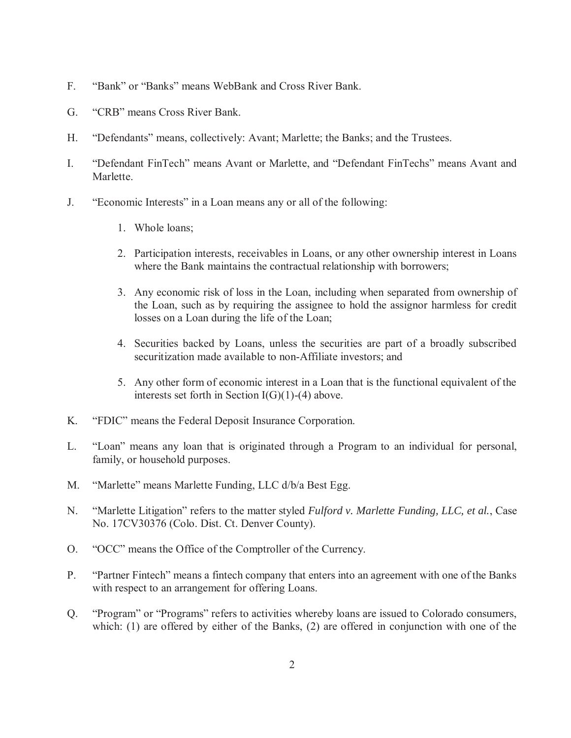- F. "Bank" or "Banks" means WebBank and Cross River Bank.
- G. "CRB" means Cross River Bank.
- H. "Defendants" means, collectively: Avant; Marlette; the Banks; and the Trustees.
- I. "Defendant FinTech" means Avant or Marlette, and "Defendant FinTechs" means Avant and Marlette.
- J. "Economic Interests" in a Loan means any or all of the following:
	- 1. Whole loans;
	- 2. Participation interests, receivables in Loans, or any other ownership interest in Loans where the Bank maintains the contractual relationship with borrowers;
	- 3. Any economic risk of loss in the Loan, including when separated from ownership of the Loan, such as by requiring the assignee to hold the assignor harmless for credit losses on a Loan during the life of the Loan;
	- 4. Securities backed by Loans, unless the securities are part of a broadly subscribed securitization made available to non-Affiliate investors; and
	- 5. Any other form of economic interest in a Loan that is the functional equivalent of the interests set forth in Section  $I(G)(1)$ -(4) above.
- K. "FDIC" means the Federal Deposit Insurance Corporation.
- L. "Loan" means any loan that is originated through a Program to an individual for personal, family, or household purposes.
- M. "Marlette" means Marlette Funding, LLC d/b/a Best Egg.
- N. "Marlette Litigation" refers to the matter styled *Fulford v. Marlette Funding, LLC, et al.*, Case No. 17CV30376 (Colo. Dist. Ct. Denver County).
- O. "OCC" means the Office of the Comptroller of the Currency.
- P. "Partner Fintech" means a fintech company that enters into an agreement with one of the Banks with respect to an arrangement for offering Loans.
- Q. "Program" or "Programs" refers to activities whereby loans are issued to Colorado consumers, which: (1) are offered by either of the Banks, (2) are offered in conjunction with one of the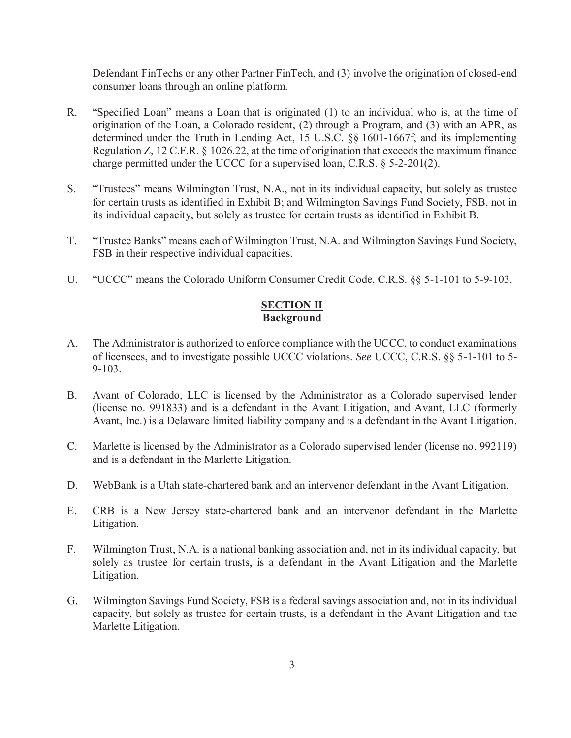Defendant FinTechs or any other Partner FinTech, and (3) involve the origination of closed-end consumer loans through an online platform.

- R. "Specified Loan" means a Loan that is originated (1) to an individual who is, at the time of origination of the Loan, a Colorado resident, (2) through a Program, and (3) with an APR, as determined under the Truth in Lending Act, 15 U.S.C. §§ 1601-1667f, and its implementing Regulation Z, 12 C.F.R. § 1026.22, at the time of origination that exceeds the maximum finance charge permitted under the UCCC for a supervised loan, C.R.S. § 5-2-201(2).
- S. "Trustees" means Wilmington Trust, N.A., not in its individual capacity, but solely as trustee for certain trusts as identified in Exhibit B; and Wilmington Savings Fund Society, FSB, not in its individual capacity, but solely as trustee for certain trusts as identified in Exhibit B.
- T. "Trustee Banks" means each of Wilmington Trust, N.A. and Wilmington Savings Fund Society, FSB in their respective individual capacities.
- U. "UCCC" means the Colorado Uniform Consumer Credit Code, C.R.S. §§ 5-1-101 to 5-9-103.

#### **SECTION II Background**

- A. The Administrator is authorized to enforce compliance with the UCCC, to conduct examinations of licensees, and to investigate possible UCCC violations. *See* UCCC, C.R.S. §§ 5-1-101 to 5- 9-103.
- B. Avant of Colorado, LLC is licensed by the Administrator as a Colorado supervised lender (license no. 991833) and is a defendant in the Avant Litigation, and Avant, LLC (formerly Avant, Inc.) is a Delaware limited liability company and is a defendant in the Avant Litigation.
- C. Marlette is licensed by the Administrator as a Colorado supervised lender (license no. 992119) and is a defendant in the Marlette Litigation.
- D. WebBank is a Utah state-chartered bank and an intervenor defendant in the Avant Litigation.
- E. CRB is a New Jersey state-chartered bank and an intervenor defendant in the Marlette Litigation.
- F. Wilmington Trust, N.A. is a national banking association and, not in its individual capacity, but solely as trustee for certain trusts, is a defendant in the Avant Litigation and the Marlette Litigation.
- G. Wilmington Savings Fund Society, FSB is a federal savings association and, not in its individual capacity, but solely as trustee for certain trusts, is a defendant in the Avant Litigation and the Marlette Litigation.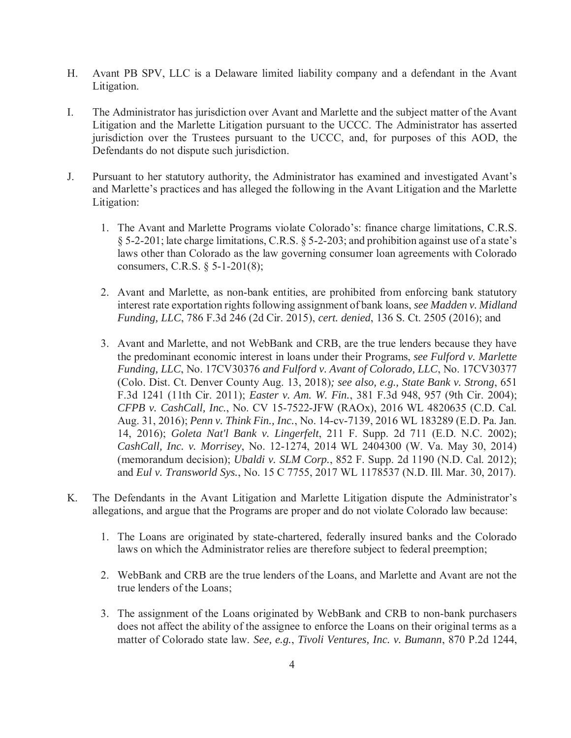- H. Avant PB SPV, LLC is a Delaware limited liability company and a defendant in the Avant Litigation.
- I. The Administrator has jurisdiction over Avant and Marlette and the subject matter of the Avant Litigation and the Marlette Litigation pursuant to the UCCC. The Administrator has asserted jurisdiction over the Trustees pursuant to the UCCC, and, for purposes of this AOD, the Defendants do not dispute such jurisdiction.
- J. Pursuant to her statutory authority, the Administrator has examined and investigated Avant's and Marlette's practices and has alleged the following in the Avant Litigation and the Marlette Litigation:
	- 1. The Avant and Marlette Programs violate Colorado's: finance charge limitations, C.R.S. § 5-2-201; late charge limitations, C.R.S. § 5-2-203; and prohibition against use of a state's laws other than Colorado as the law governing consumer loan agreements with Colorado consumers, C.R.S. § 5-1-201(8);
	- 2. Avant and Marlette, as non-bank entities, are prohibited from enforcing bank statutory interest rate exportation rights following assignment of bank loans, *see Madden v. Midland Funding, LLC*, 786 F.3d 246 (2d Cir. 2015), *cert. denied*, 136 S. Ct. 2505 (2016); and
	- 3. Avant and Marlette, and not WebBank and CRB, are the true lenders because they have the predominant economic interest in loans under their Programs, *see Fulford v. Marlette Funding, LLC*, No. 17CV30376 *and Fulford v. Avant of Colorado, LLC*, No. 17CV30377 (Colo. Dist. Ct. Denver County Aug. 13, 2018)*; see also, e.g., State Bank v. Strong*, 651 F.3d 1241 (11th Cir. 2011); *Easter v. Am. W. Fin.*, 381 F.3d 948, 957 (9th Cir. 2004); *CFPB v. CashCall, Inc.*, No. CV 15-7522-JFW (RAOx), 2016 WL 4820635 (C.D. Cal. Aug. 31, 2016); *Penn v. Think Fin., Inc.*, No. 14-cv-7139, 2016 WL 183289 (E.D. Pa. Jan. 14, 2016); *Goleta Nat'l Bank v. Lingerfelt*, 211 F. Supp. 2d 711 (E.D. N.C. 2002); *CashCall, Inc. v. Morrisey*, No. 12-1274, 2014 WL 2404300 (W. Va. May 30, 2014) (memorandum decision); *Ubaldi v. SLM Corp.*, 852 F. Supp. 2d 1190 (N.D. Cal. 2012); and *Eul v. Transworld Sys.*, No. 15 C 7755, 2017 WL 1178537 (N.D. Ill. Mar. 30, 2017).
- K. The Defendants in the Avant Litigation and Marlette Litigation dispute the Administrator's allegations, and argue that the Programs are proper and do not violate Colorado law because:
	- 1. The Loans are originated by state-chartered, federally insured banks and the Colorado laws on which the Administrator relies are therefore subject to federal preemption;
	- 2. WebBank and CRB are the true lenders of the Loans, and Marlette and Avant are not the true lenders of the Loans;
	- 3. The assignment of the Loans originated by WebBank and CRB to non-bank purchasers does not affect the ability of the assignee to enforce the Loans on their original terms as a matter of Colorado state law. *See, e.g.*, *Tivoli Ventures, Inc. v. Bumann*, 870 P.2d 1244,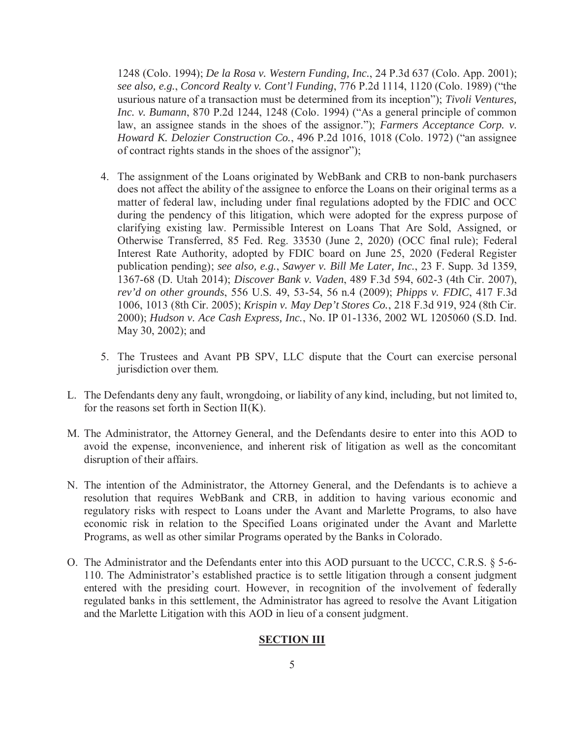1248 (Colo. 1994); *De la Rosa v. Western Funding, Inc.*, 24 P.3d 637 (Colo. App. 2001); *see also, e.g.*, *Concord Realty v. Cont'l Funding*, 776 P.2d 1114, 1120 (Colo. 1989) ("the usurious nature of a transaction must be determined from its inception"); *Tivoli Ventures, Inc. v. Bumann*, 870 P.2d 1244, 1248 (Colo. 1994) ("As a general principle of common law, an assignee stands in the shoes of the assignor."); *Farmers Acceptance Corp. v. Howard K. Delozier Construction Co.*, 496 P.2d 1016, 1018 (Colo. 1972) ("an assignee of contract rights stands in the shoes of the assignor");

- 4. The assignment of the Loans originated by WebBank and CRB to non-bank purchasers does not affect the ability of the assignee to enforce the Loans on their original terms as a matter of federal law, including under final regulations adopted by the FDIC and OCC during the pendency of this litigation, which were adopted for the express purpose of clarifying existing law. Permissible Interest on Loans That Are Sold, Assigned, or Otherwise Transferred, 85 Fed. Reg. 33530 (June 2, 2020) (OCC final rule); Federal Interest Rate Authority, adopted by FDIC board on June 25, 2020 (Federal Register publication pending); *see also, e.g.*, *Sawyer v. Bill Me Later, Inc.*, 23 F. Supp. 3d 1359, 1367-68 (D. Utah 2014); *Discover Bank v. Vaden*, 489 F.3d 594, 602-3 (4th Cir. 2007), *rev'd on other grounds*, 556 U.S. 49, 53-54, 56 n.4 (2009); *Phipps v. FDIC*, 417 F.3d 1006, 1013 (8th Cir. 2005); *Krispin v. May Dep't Stores Co.*, 218 F.3d 919, 924 (8th Cir. 2000); *Hudson v. Ace Cash Express, Inc.*, No. IP 01-1336, 2002 WL 1205060 (S.D. Ind. May 30, 2002); and
- 5. The Trustees and Avant PB SPV, LLC dispute that the Court can exercise personal jurisdiction over them.
- L. The Defendants deny any fault, wrongdoing, or liability of any kind, including, but not limited to, for the reasons set forth in Section  $II(K)$ .
- M. The Administrator, the Attorney General, and the Defendants desire to enter into this AOD to avoid the expense, inconvenience, and inherent risk of litigation as well as the concomitant disruption of their affairs.
- N. The intention of the Administrator, the Attorney General, and the Defendants is to achieve a resolution that requires WebBank and CRB, in addition to having various economic and regulatory risks with respect to Loans under the Avant and Marlette Programs, to also have economic risk in relation to the Specified Loans originated under the Avant and Marlette Programs, as well as other similar Programs operated by the Banks in Colorado.
- O. The Administrator and the Defendants enter into this AOD pursuant to the UCCC, C.R.S. § 5-6- 110. The Administrator's established practice is to settle litigation through a consent judgment entered with the presiding court. However, in recognition of the involvement of federally regulated banks in this settlement, the Administrator has agreed to resolve the Avant Litigation and the Marlette Litigation with this AOD in lieu of a consent judgment.

#### **SECTION III**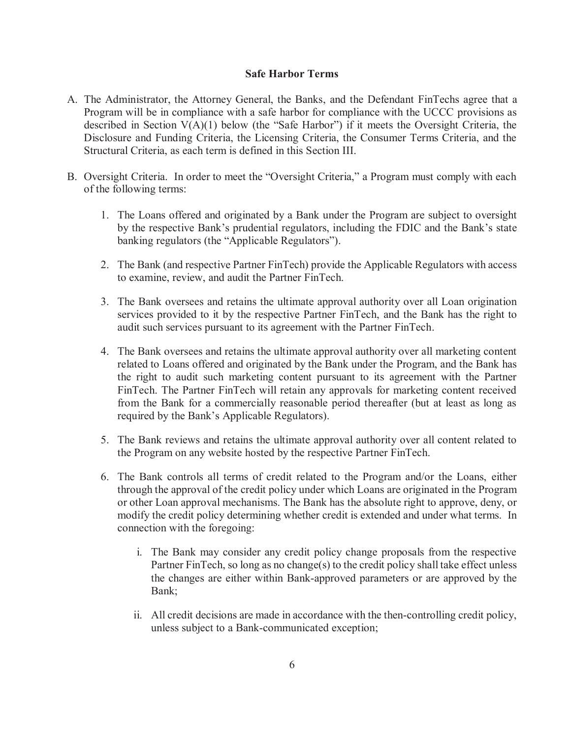### **Safe Harbor Terms**

- A. The Administrator, the Attorney General, the Banks, and the Defendant FinTechs agree that a Program will be in compliance with a safe harbor for compliance with the UCCC provisions as described in Section V(A)(1) below (the "Safe Harbor") if it meets the Oversight Criteria, the Disclosure and Funding Criteria, the Licensing Criteria, the Consumer Terms Criteria, and the Structural Criteria, as each term is defined in this Section III.
- B. Oversight Criteria. In order to meet the "Oversight Criteria," a Program must comply with each of the following terms:
	- 1. The Loans offered and originated by a Bank under the Program are subject to oversight by the respective Bank's prudential regulators, including the FDIC and the Bank's state banking regulators (the "Applicable Regulators").
	- 2. The Bank (and respective Partner FinTech) provide the Applicable Regulators with access to examine, review, and audit the Partner FinTech.
	- 3. The Bank oversees and retains the ultimate approval authority over all Loan origination services provided to it by the respective Partner FinTech, and the Bank has the right to audit such services pursuant to its agreement with the Partner FinTech.
	- 4. The Bank oversees and retains the ultimate approval authority over all marketing content related to Loans offered and originated by the Bank under the Program, and the Bank has the right to audit such marketing content pursuant to its agreement with the Partner FinTech. The Partner FinTech will retain any approvals for marketing content received from the Bank for a commercially reasonable period thereafter (but at least as long as required by the Bank's Applicable Regulators).
	- 5. The Bank reviews and retains the ultimate approval authority over all content related to the Program on any website hosted by the respective Partner FinTech.
	- 6. The Bank controls all terms of credit related to the Program and/or the Loans, either through the approval of the credit policy under which Loans are originated in the Program or other Loan approval mechanisms. The Bank has the absolute right to approve, deny, or modify the credit policy determining whether credit is extended and under what terms. In connection with the foregoing:
		- i. The Bank may consider any credit policy change proposals from the respective Partner FinTech, so long as no change(s) to the credit policy shall take effect unless the changes are either within Bank-approved parameters or are approved by the Bank;
		- ii. All credit decisions are made in accordance with the then-controlling credit policy, unless subject to a Bank-communicated exception;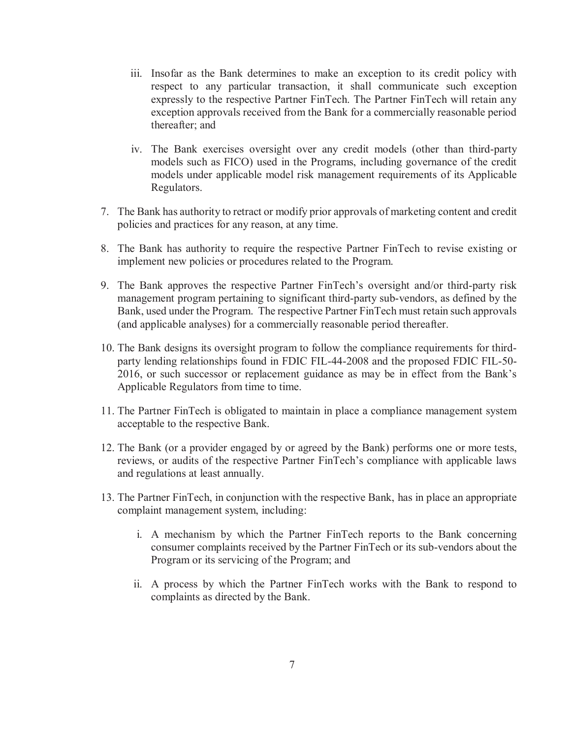- iii. Insofar as the Bank determines to make an exception to its credit policy with respect to any particular transaction, it shall communicate such exception expressly to the respective Partner FinTech. The Partner FinTech will retain any exception approvals received from the Bank for a commercially reasonable period thereafter; and
- iv. The Bank exercises oversight over any credit models (other than third-party models such as FICO) used in the Programs, including governance of the credit models under applicable model risk management requirements of its Applicable Regulators.
- 7. The Bank has authority to retract or modify prior approvals of marketing content and credit policies and practices for any reason, at any time.
- 8. The Bank has authority to require the respective Partner FinTech to revise existing or implement new policies or procedures related to the Program.
- 9. The Bank approves the respective Partner FinTech's oversight and/or third-party risk management program pertaining to significant third-party sub-vendors, as defined by the Bank, used under the Program. The respective Partner FinTech must retain such approvals (and applicable analyses) for a commercially reasonable period thereafter.
- 10. The Bank designs its oversight program to follow the compliance requirements for thirdparty lending relationships found in FDIC FIL-44-2008 and the proposed FDIC FIL-50- 2016, or such successor or replacement guidance as may be in effect from the Bank's Applicable Regulators from time to time.
- 11. The Partner FinTech is obligated to maintain in place a compliance management system acceptable to the respective Bank.
- 12. The Bank (or a provider engaged by or agreed by the Bank) performs one or more tests, reviews, or audits of the respective Partner FinTech's compliance with applicable laws and regulations at least annually.
- 13. The Partner FinTech, in conjunction with the respective Bank, has in place an appropriate complaint management system, including:
	- i. A mechanism by which the Partner FinTech reports to the Bank concerning consumer complaints received by the Partner FinTech or its sub-vendors about the Program or its servicing of the Program; and
	- ii. A process by which the Partner FinTech works with the Bank to respond to complaints as directed by the Bank.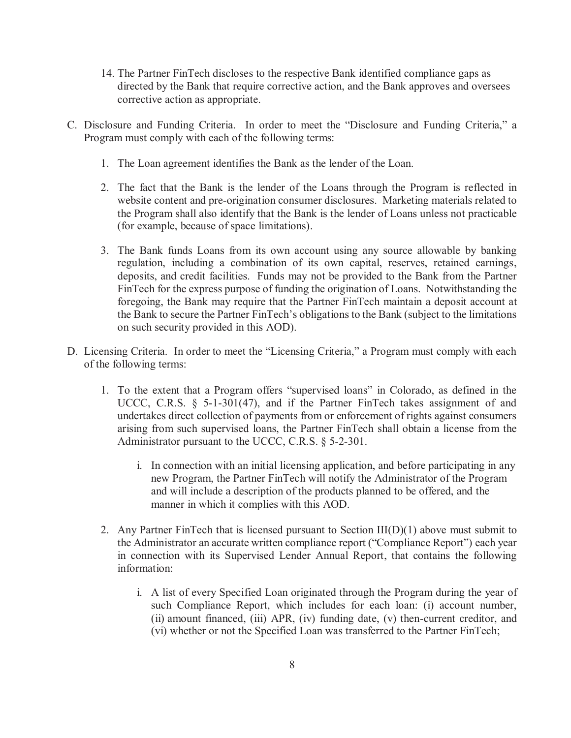- 14. The Partner FinTech discloses to the respective Bank identified compliance gaps as directed by the Bank that require corrective action, and the Bank approves and oversees corrective action as appropriate.
- C. Disclosure and Funding Criteria. In order to meet the "Disclosure and Funding Criteria," a Program must comply with each of the following terms:
	- 1. The Loan agreement identifies the Bank as the lender of the Loan.
	- 2. The fact that the Bank is the lender of the Loans through the Program is reflected in website content and pre-origination consumer disclosures. Marketing materials related to the Program shall also identify that the Bank is the lender of Loans unless not practicable (for example, because of space limitations).
	- 3. The Bank funds Loans from its own account using any source allowable by banking regulation, including a combination of its own capital, reserves, retained earnings, deposits, and credit facilities. Funds may not be provided to the Bank from the Partner FinTech for the express purpose of funding the origination of Loans. Notwithstanding the foregoing, the Bank may require that the Partner FinTech maintain a deposit account at the Bank to secure the Partner FinTech's obligations to the Bank (subject to the limitations on such security provided in this AOD).
- D. Licensing Criteria. In order to meet the "Licensing Criteria," a Program must comply with each of the following terms:
	- 1. To the extent that a Program offers "supervised loans" in Colorado, as defined in the UCCC, C.R.S. § 5-1-301(47), and if the Partner FinTech takes assignment of and undertakes direct collection of payments from or enforcement of rights against consumers arising from such supervised loans, the Partner FinTech shall obtain a license from the Administrator pursuant to the UCCC, C.R.S. § 5-2-301.
		- i. In connection with an initial licensing application, and before participating in any new Program, the Partner FinTech will notify the Administrator of the Program and will include a description of the products planned to be offered, and the manner in which it complies with this AOD.
	- 2. Any Partner FinTech that is licensed pursuant to Section  $III(D)(1)$  above must submit to the Administrator an accurate written compliance report ("Compliance Report") each year in connection with its Supervised Lender Annual Report, that contains the following information:
		- i. A list of every Specified Loan originated through the Program during the year of such Compliance Report, which includes for each loan: (i) account number, (ii) amount financed, (iii) APR, (iv) funding date, (v) then-current creditor, and (vi) whether or not the Specified Loan was transferred to the Partner FinTech;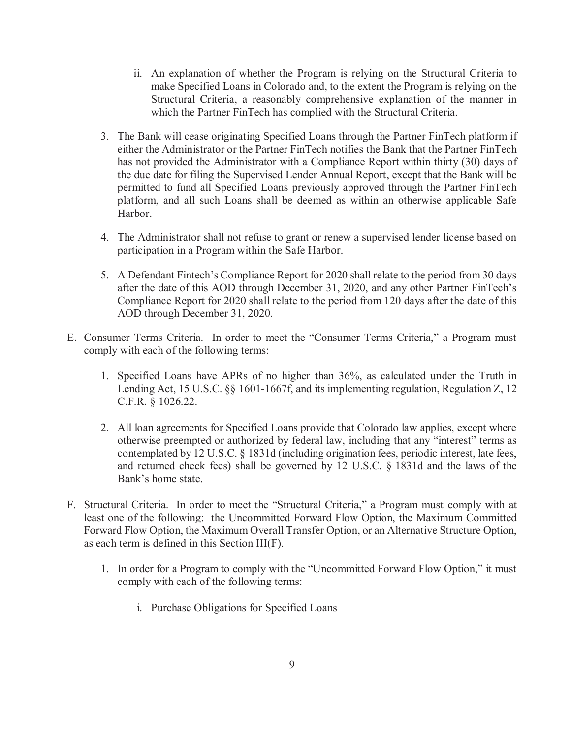- ii. An explanation of whether the Program is relying on the Structural Criteria to make Specified Loans in Colorado and, to the extent the Program is relying on the Structural Criteria, a reasonably comprehensive explanation of the manner in which the Partner FinTech has complied with the Structural Criteria.
- 3. The Bank will cease originating Specified Loans through the Partner FinTech platform if either the Administrator or the Partner FinTech notifies the Bank that the Partner FinTech has not provided the Administrator with a Compliance Report within thirty (30) days of the due date for filing the Supervised Lender Annual Report, except that the Bank will be permitted to fund all Specified Loans previously approved through the Partner FinTech platform, and all such Loans shall be deemed as within an otherwise applicable Safe Harbor.
- 4. The Administrator shall not refuse to grant or renew a supervised lender license based on participation in a Program within the Safe Harbor.
- 5. A Defendant Fintech's Compliance Report for 2020 shall relate to the period from 30 days after the date of this AOD through December 31, 2020, and any other Partner FinTech's Compliance Report for 2020 shall relate to the period from 120 days after the date of this AOD through December 31, 2020.
- E. Consumer Terms Criteria. In order to meet the "Consumer Terms Criteria," a Program must comply with each of the following terms:
	- 1. Specified Loans have APRs of no higher than 36%, as calculated under the Truth in Lending Act, 15 U.S.C. §§ 1601-1667f, and its implementing regulation, Regulation Z, 12 C.F.R. § 1026.22.
	- 2. All loan agreements for Specified Loans provide that Colorado law applies, except where otherwise preempted or authorized by federal law, including that any "interest" terms as contemplated by 12 U.S.C. § 1831d (including origination fees, periodic interest, late fees, and returned check fees) shall be governed by 12 U.S.C. § 1831d and the laws of the Bank's home state.
- F. Structural Criteria. In order to meet the "Structural Criteria," a Program must comply with at least one of the following: the Uncommitted Forward Flow Option, the Maximum Committed Forward Flow Option, the Maximum Overall Transfer Option, or an Alternative Structure Option, as each term is defined in this Section III(F).
	- 1. In order for a Program to comply with the "Uncommitted Forward Flow Option," it must comply with each of the following terms:
		- i. Purchase Obligations for Specified Loans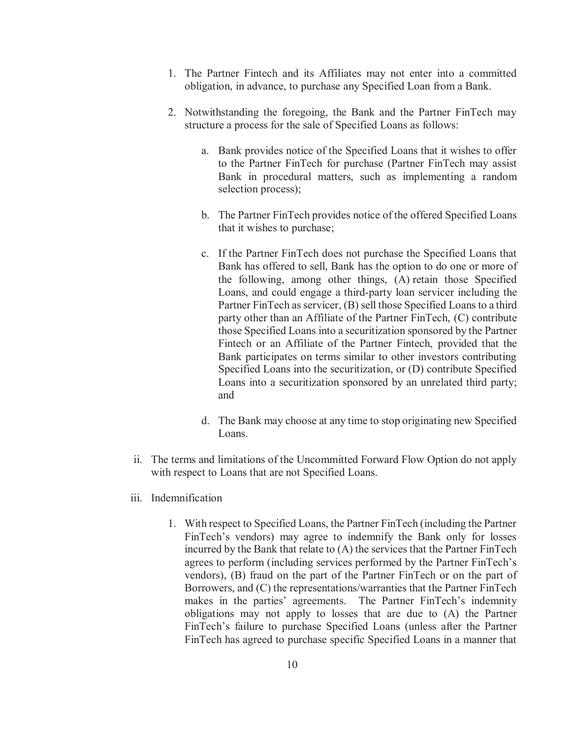- 1. The Partner Fintech and its Affiliates may not enter into a committed obligation, in advance, to purchase any Specified Loan from a Bank.
- 2. Notwithstanding the foregoing, the Bank and the Partner FinTech may structure a process for the sale of Specified Loans as follows:
	- a. Bank provides notice of the Specified Loans that it wishes to offer to the Partner FinTech for purchase (Partner FinTech may assist Bank in procedural matters, such as implementing a random selection process);
	- b. The Partner FinTech provides notice of the offered Specified Loans that it wishes to purchase;
	- c. If the Partner FinTech does not purchase the Specified Loans that Bank has offered to sell, Bank has the option to do one or more of the following, among other things, (A) retain those Specified Loans, and could engage a third-party loan servicer including the Partner FinTech as servicer, (B) sell those Specified Loans to a third party other than an Affiliate of the Partner FinTech, (C) contribute those Specified Loans into a securitization sponsored by the Partner Fintech or an Affiliate of the Partner Fintech, provided that the Bank participates on terms similar to other investors contributing Specified Loans into the securitization, or (D) contribute Specified Loans into a securitization sponsored by an unrelated third party; and
	- d. The Bank may choose at any time to stop originating new Specified Loans.
- ii. The terms and limitations of the Uncommitted Forward Flow Option do not apply with respect to Loans that are not Specified Loans.
- iii. Indemnification
	- 1. With respect to Specified Loans, the Partner FinTech (including the Partner FinTech's vendors) may agree to indemnify the Bank only for losses incurred by the Bank that relate to (A) the services that the Partner FinTech agrees to perform (including services performed by the Partner FinTech's vendors), (B) fraud on the part of the Partner FinTech or on the part of Borrowers, and (C) the representations/warranties that the Partner FinTech makes in the parties' agreements. The Partner FinTech's indemnity obligations may not apply to losses that are due to (A) the Partner FinTech's failure to purchase Specified Loans (unless after the Partner FinTech has agreed to purchase specific Specified Loans in a manner that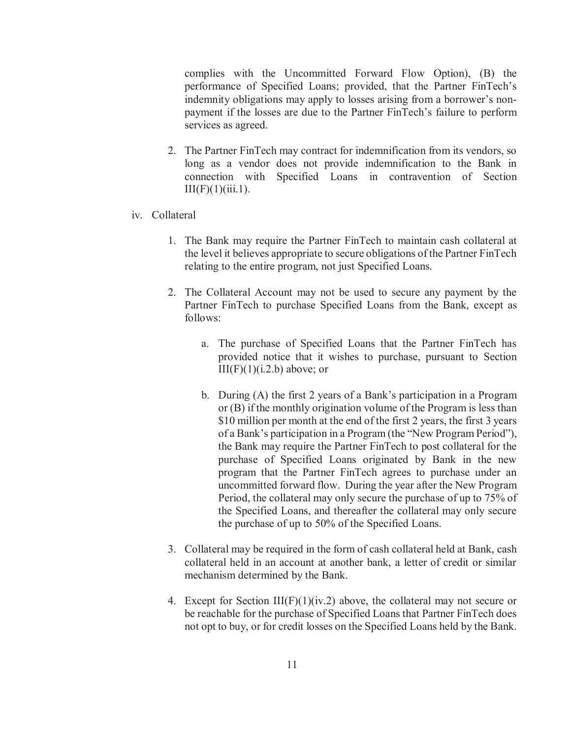complies with the Uncommitted Forward Flow Option), (B) the performance of Specified Loans; provided, that the Partner FinTech's indemnity obligations may apply to losses arising from a borrower's nonpayment if the losses are due to the Partner FinTech's failure to perform services as agreed.

- 2. The Partner FinTech may contract for indemnification from its vendors, so long as a vendor does not provide indemnification to the Bank in connection with Specified Loans in contravention of Section  $III(F)(1)(iii.1).$
- iv. Collateral
	- 1. The Bank may require the Partner FinTech to maintain cash collateral at the level it believes appropriate to secure obligations of the Partner FinTech relating to the entire program, not just Specified Loans.
	- 2. The Collateral Account may not be used to secure any payment by the Partner FinTech to purchase Specified Loans from the Bank, except as follows:
		- a. The purchase of Specified Loans that the Partner FinTech has provided notice that it wishes to purchase, pursuant to Section  $III(F)(1)(i.2.b)$  above; or
		- b. During (A) the first 2 years of a Bank's participation in a Program or (B) if the monthly origination volume of the Program is less than \$10 million per month at the end of the first 2 years, the first 3 years of a Bank's participation in a Program (the "New Program Period"), the Bank may require the Partner FinTech to post collateral for the purchase of Specified Loans originated by Bank in the new program that the Partner FinTech agrees to purchase under an uncommitted forward flow. During the year after the New Program Period, the collateral may only secure the purchase of up to 75% of the Specified Loans, and thereafter the collateral may only secure the purchase of up to 50% of the Specified Loans.
	- 3. Collateral may be required in the form of cash collateral held at Bank, cash collateral held in an account at another bank, a letter of credit or similar mechanism determined by the Bank.
	- 4. Except for Section III(F)(1)(iv.2) above, the collateral may not secure or be reachable for the purchase of Specified Loans that Partner FinTech does not opt to buy, or for credit losses on the Specified Loans held by the Bank.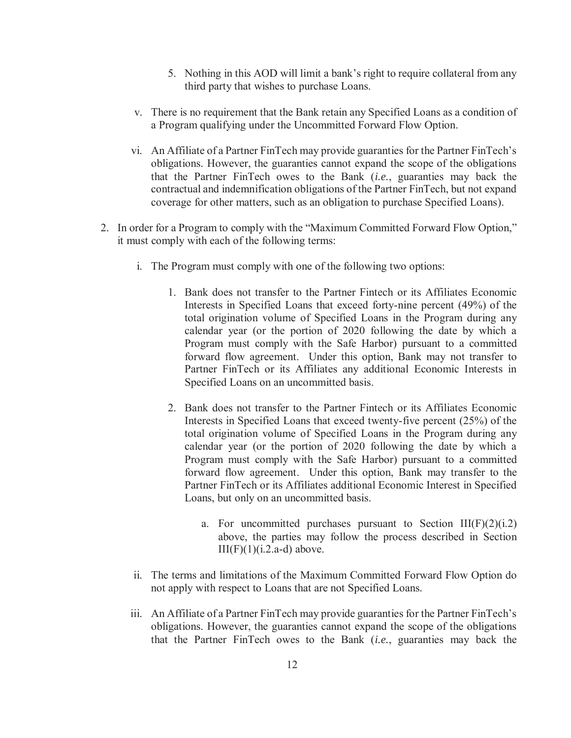- 5. Nothing in this AOD will limit a bank's right to require collateral from any third party that wishes to purchase Loans.
- v. There is no requirement that the Bank retain any Specified Loans as a condition of a Program qualifying under the Uncommitted Forward Flow Option.
- vi. An Affiliate of a Partner FinTech may provide guaranties for the Partner FinTech's obligations. However, the guaranties cannot expand the scope of the obligations that the Partner FinTech owes to the Bank (*i.e.*, guaranties may back the contractual and indemnification obligations of the Partner FinTech, but not expand coverage for other matters, such as an obligation to purchase Specified Loans).
- 2. In order for a Program to comply with the "Maximum Committed Forward Flow Option," it must comply with each of the following terms:
	- i. The Program must comply with one of the following two options:
		- 1. Bank does not transfer to the Partner Fintech or its Affiliates Economic Interests in Specified Loans that exceed forty-nine percent (49%) of the total origination volume of Specified Loans in the Program during any calendar year (or the portion of 2020 following the date by which a Program must comply with the Safe Harbor) pursuant to a committed forward flow agreement. Under this option, Bank may not transfer to Partner FinTech or its Affiliates any additional Economic Interests in Specified Loans on an uncommitted basis.
		- 2. Bank does not transfer to the Partner Fintech or its Affiliates Economic Interests in Specified Loans that exceed twenty-five percent (25%) of the total origination volume of Specified Loans in the Program during any calendar year (or the portion of 2020 following the date by which a Program must comply with the Safe Harbor) pursuant to a committed forward flow agreement. Under this option, Bank may transfer to the Partner FinTech or its Affiliates additional Economic Interest in Specified Loans, but only on an uncommitted basis.
			- a. For uncommitted purchases pursuant to Section  $III(F)(2)(i.2)$ above, the parties may follow the process described in Section  $III(F)(1)(i.2.a-d)$  above.
	- ii. The terms and limitations of the Maximum Committed Forward Flow Option do not apply with respect to Loans that are not Specified Loans.
	- iii. An Affiliate of a Partner FinTech may provide guaranties for the Partner FinTech's obligations. However, the guaranties cannot expand the scope of the obligations that the Partner FinTech owes to the Bank (*i.e.*, guaranties may back the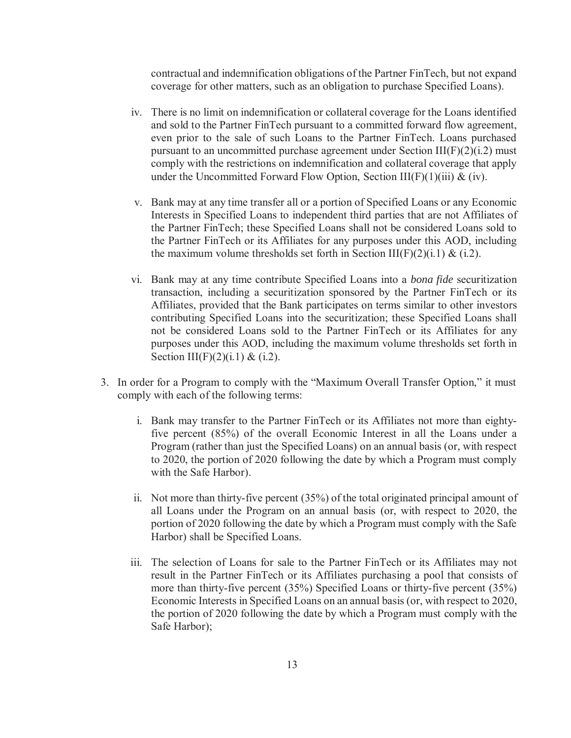contractual and indemnification obligations of the Partner FinTech, but not expand coverage for other matters, such as an obligation to purchase Specified Loans).

- iv. There is no limit on indemnification or collateral coverage for the Loans identified and sold to the Partner FinTech pursuant to a committed forward flow agreement, even prior to the sale of such Loans to the Partner FinTech. Loans purchased pursuant to an uncommitted purchase agreement under Section  $III(F)(2)(i.2)$  must comply with the restrictions on indemnification and collateral coverage that apply under the Uncommitted Forward Flow Option, Section III(F)(1)(iii)  $\&$  (iv).
- v. Bank may at any time transfer all or a portion of Specified Loans or any Economic Interests in Specified Loans to independent third parties that are not Affiliates of the Partner FinTech; these Specified Loans shall not be considered Loans sold to the Partner FinTech or its Affiliates for any purposes under this AOD, including the maximum volume thresholds set forth in Section III(F)(2)(i.1) & (i.2).
- vi. Bank may at any time contribute Specified Loans into a *bona fide* securitization transaction, including a securitization sponsored by the Partner FinTech or its Affiliates, provided that the Bank participates on terms similar to other investors contributing Specified Loans into the securitization; these Specified Loans shall not be considered Loans sold to the Partner FinTech or its Affiliates for any purposes under this AOD, including the maximum volume thresholds set forth in Section III(F)(2)(i.1) & (i.2).
- 3. In order for a Program to comply with the "Maximum Overall Transfer Option," it must comply with each of the following terms:
	- i. Bank may transfer to the Partner FinTech or its Affiliates not more than eightyfive percent (85%) of the overall Economic Interest in all the Loans under a Program (rather than just the Specified Loans) on an annual basis (or, with respect to 2020, the portion of 2020 following the date by which a Program must comply with the Safe Harbor).
	- ii. Not more than thirty-five percent (35%) of the total originated principal amount of all Loans under the Program on an annual basis (or, with respect to 2020, the portion of 2020 following the date by which a Program must comply with the Safe Harbor) shall be Specified Loans.
	- iii. The selection of Loans for sale to the Partner FinTech or its Affiliates may not result in the Partner FinTech or its Affiliates purchasing a pool that consists of more than thirty-five percent (35%) Specified Loans or thirty-five percent (35%) Economic Interests in Specified Loans on an annual basis (or, with respect to 2020, the portion of 2020 following the date by which a Program must comply with the Safe Harbor);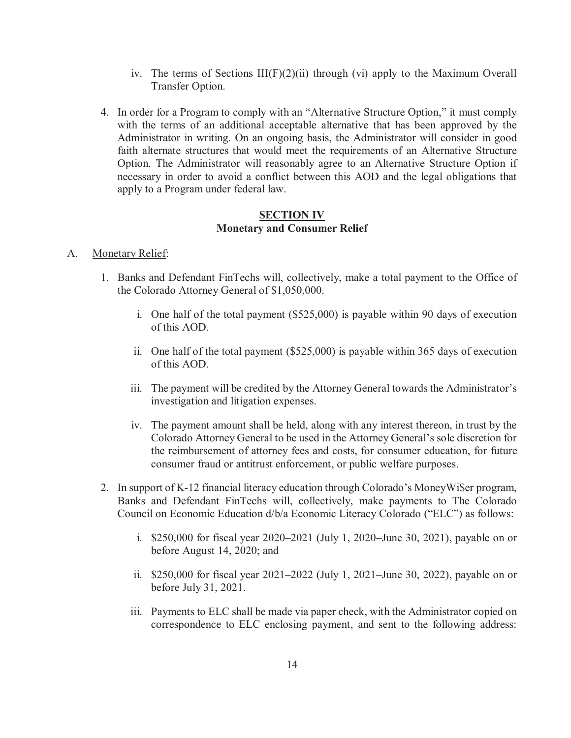- iv. The terms of Sections  $III(F)(2)(ii)$  through (vi) apply to the Maximum Overall Transfer Option.
- 4. In order for a Program to comply with an "Alternative Structure Option," it must comply with the terms of an additional acceptable alternative that has been approved by the Administrator in writing. On an ongoing basis, the Administrator will consider in good faith alternate structures that would meet the requirements of an Alternative Structure Option. The Administrator will reasonably agree to an Alternative Structure Option if necessary in order to avoid a conflict between this AOD and the legal obligations that apply to a Program under federal law.

### **SECTION IV Monetary and Consumer Relief**

#### A. Monetary Relief:

- 1. Banks and Defendant FinTechs will, collectively, make a total payment to the Office of the Colorado Attorney General of \$1,050,000.
	- i. One half of the total payment (\$525,000) is payable within 90 days of execution of this AOD.
	- ii. One half of the total payment (\$525,000) is payable within 365 days of execution of this AOD.
	- iii. The payment will be credited by the Attorney General towards the Administrator's investigation and litigation expenses.
	- iv. The payment amount shall be held, along with any interest thereon, in trust by the Colorado Attorney General to be used in the Attorney General's sole discretion for the reimbursement of attorney fees and costs, for consumer education, for future consumer fraud or antitrust enforcement, or public welfare purposes.
- 2. In support of K-12 financial literacy education through Colorado's MoneyWi\$er program, Banks and Defendant FinTechs will, collectively, make payments to The Colorado Council on Economic Education d/b/a Economic Literacy Colorado ("ELC") as follows:
	- i. \$250,000 for fiscal year 2020–2021 (July 1, 2020–June 30, 2021), payable on or before August 14, 2020; and
	- ii. \$250,000 for fiscal year 2021–2022 (July 1, 2021–June 30, 2022), payable on or before July 31, 2021.
	- iii. Payments to ELC shall be made via paper check, with the Administrator copied on correspondence to ELC enclosing payment, and sent to the following address: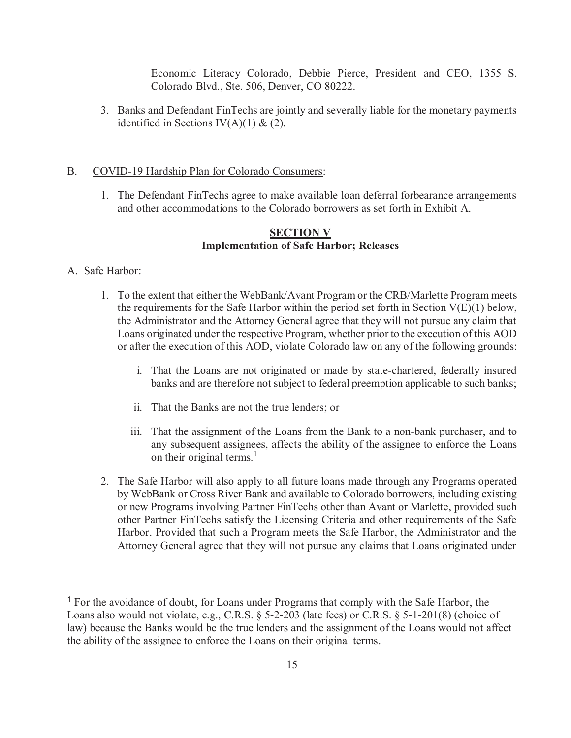Economic Literacy Colorado, Debbie Pierce, President and CEO, 1355 S. Colorado Blvd., Ste. 506, Denver, CO 80222.

3. Banks and Defendant FinTechs are jointly and severally liable for the monetary payments identified in Sections IV(A)(1) & (2).

## B. COVID-19 Hardship Plan for Colorado Consumers:

1. The Defendant FinTechs agree to make available loan deferral forbearance arrangements and other accommodations to the Colorado borrowers as set forth in Exhibit A.

### **SECTION V Implementation of Safe Harbor; Releases**

### A. Safe Harbor:

 $\overline{a}$ 

- 1. To the extent that either the WebBank/Avant Program or the CRB/Marlette Program meets the requirements for the Safe Harbor within the period set forth in Section  $V(E)(1)$  below, the Administrator and the Attorney General agree that they will not pursue any claim that Loans originated under the respective Program, whether prior to the execution of this AOD or after the execution of this AOD, violate Colorado law on any of the following grounds:
	- i. That the Loans are not originated or made by state-chartered, federally insured banks and are therefore not subject to federal preemption applicable to such banks;
	- ii. That the Banks are not the true lenders; or
	- iii. That the assignment of the Loans from the Bank to a non-bank purchaser, and to any subsequent assignees, affects the ability of the assignee to enforce the Loans on their original terms.<sup>1</sup>
- 2. The Safe Harbor will also apply to all future loans made through any Programs operated by WebBank or Cross River Bank and available to Colorado borrowers, including existing or new Programs involving Partner FinTechs other than Avant or Marlette, provided such other Partner FinTechs satisfy the Licensing Criteria and other requirements of the Safe Harbor. Provided that such a Program meets the Safe Harbor, the Administrator and the Attorney General agree that they will not pursue any claims that Loans originated under

<sup>&</sup>lt;sup>1</sup> For the avoidance of doubt, for Loans under Programs that comply with the Safe Harbor, the Loans also would not violate, e.g., C.R.S. § 5-2-203 (late fees) or C.R.S. § 5-1-201(8) (choice of law) because the Banks would be the true lenders and the assignment of the Loans would not affect the ability of the assignee to enforce the Loans on their original terms.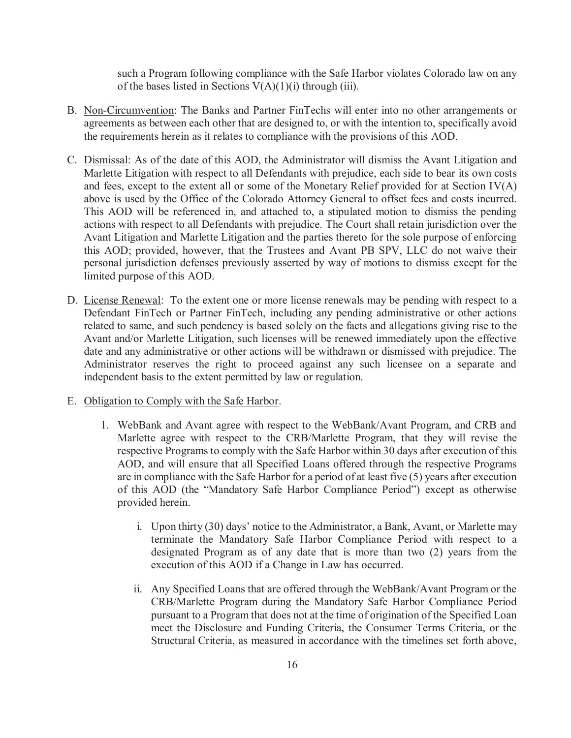such a Program following compliance with the Safe Harbor violates Colorado law on any of the bases listed in Sections  $V(A)(1)(i)$  through (iii).

- B. Non-Circumvention: The Banks and Partner FinTechs will enter into no other arrangements or agreements as between each other that are designed to, or with the intention to, specifically avoid the requirements herein as it relates to compliance with the provisions of this AOD.
- C. Dismissal: As of the date of this AOD, the Administrator will dismiss the Avant Litigation and Marlette Litigation with respect to all Defendants with prejudice, each side to bear its own costs and fees, except to the extent all or some of the Monetary Relief provided for at Section IV(A) above is used by the Office of the Colorado Attorney General to offset fees and costs incurred. This AOD will be referenced in, and attached to, a stipulated motion to dismiss the pending actions with respect to all Defendants with prejudice. The Court shall retain jurisdiction over the Avant Litigation and Marlette Litigation and the parties thereto for the sole purpose of enforcing this AOD; provided, however, that the Trustees and Avant PB SPV, LLC do not waive their personal jurisdiction defenses previously asserted by way of motions to dismiss except for the limited purpose of this AOD.
- D. License Renewal: To the extent one or more license renewals may be pending with respect to a Defendant FinTech or Partner FinTech, including any pending administrative or other actions related to same, and such pendency is based solely on the facts and allegations giving rise to the Avant and/or Marlette Litigation, such licenses will be renewed immediately upon the effective date and any administrative or other actions will be withdrawn or dismissed with prejudice. The Administrator reserves the right to proceed against any such licensee on a separate and independent basis to the extent permitted by law or regulation.
- E. Obligation to Comply with the Safe Harbor.
	- 1. WebBank and Avant agree with respect to the WebBank/Avant Program, and CRB and Marlette agree with respect to the CRB/Marlette Program, that they will revise the respective Programs to comply with the Safe Harbor within 30 days after execution of this AOD, and will ensure that all Specified Loans offered through the respective Programs are in compliance with the Safe Harbor for a period of at least five (5) years after execution of this AOD (the "Mandatory Safe Harbor Compliance Period") except as otherwise provided herein.
		- i. Upon thirty (30) days' notice to the Administrator, a Bank, Avant, or Marlette may terminate the Mandatory Safe Harbor Compliance Period with respect to a designated Program as of any date that is more than two (2) years from the execution of this AOD if a Change in Law has occurred.
		- ii. Any Specified Loans that are offered through the WebBank/Avant Program or the CRB/Marlette Program during the Mandatory Safe Harbor Compliance Period pursuant to a Program that does not at the time of origination of the Specified Loan meet the Disclosure and Funding Criteria, the Consumer Terms Criteria, or the Structural Criteria, as measured in accordance with the timelines set forth above,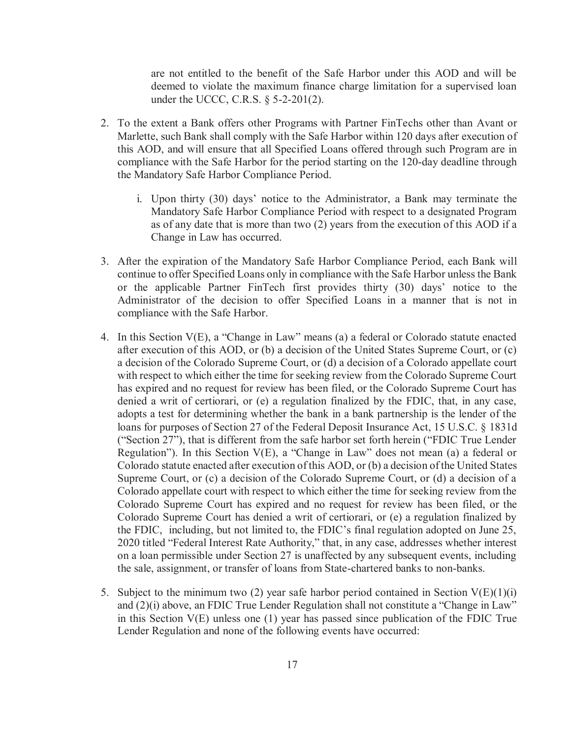are not entitled to the benefit of the Safe Harbor under this AOD and will be deemed to violate the maximum finance charge limitation for a supervised loan under the UCCC, C.R.S. § 5-2-201(2).

- 2. To the extent a Bank offers other Programs with Partner FinTechs other than Avant or Marlette, such Bank shall comply with the Safe Harbor within 120 days after execution of this AOD, and will ensure that all Specified Loans offered through such Program are in compliance with the Safe Harbor for the period starting on the 120-day deadline through the Mandatory Safe Harbor Compliance Period.
	- i. Upon thirty (30) days' notice to the Administrator, a Bank may terminate the Mandatory Safe Harbor Compliance Period with respect to a designated Program as of any date that is more than two (2) years from the execution of this AOD if a Change in Law has occurred.
- 3. After the expiration of the Mandatory Safe Harbor Compliance Period, each Bank will continue to offer Specified Loans only in compliance with the Safe Harbor unless the Bank or the applicable Partner FinTech first provides thirty (30) days' notice to the Administrator of the decision to offer Specified Loans in a manner that is not in compliance with the Safe Harbor.
- 4. In this Section V(E), a "Change in Law" means (a) a federal or Colorado statute enacted after execution of this AOD, or (b) a decision of the United States Supreme Court, or (c) a decision of the Colorado Supreme Court, or (d) a decision of a Colorado appellate court with respect to which either the time for seeking review from the Colorado Supreme Court has expired and no request for review has been filed, or the Colorado Supreme Court has denied a writ of certiorari, or (e) a regulation finalized by the FDIC, that, in any case, adopts a test for determining whether the bank in a bank partnership is the lender of the loans for purposes of Section 27 of the Federal Deposit Insurance Act, 15 U.S.C. § 1831d ("Section 27"), that is different from the safe harbor set forth herein ("FDIC True Lender Regulation"). In this Section V(E), a "Change in Law" does not mean (a) a federal or Colorado statute enacted after execution of this AOD, or (b) a decision of the United States Supreme Court, or (c) a decision of the Colorado Supreme Court, or (d) a decision of a Colorado appellate court with respect to which either the time for seeking review from the Colorado Supreme Court has expired and no request for review has been filed, or the Colorado Supreme Court has denied a writ of certiorari, or (e) a regulation finalized by the FDIC, including, but not limited to, the FDIC's final regulation adopted on June 25, 2020 titled "Federal Interest Rate Authority," that, in any case, addresses whether interest on a loan permissible under Section 27 is unaffected by any subsequent events, including the sale, assignment, or transfer of loans from State-chartered banks to non-banks.
- 5. Subject to the minimum two (2) year safe harbor period contained in Section  $V(E)(1)(i)$ and (2)(i) above, an FDIC True Lender Regulation shall not constitute a "Change in Law" in this Section V(E) unless one (1) year has passed since publication of the FDIC True Lender Regulation and none of the following events have occurred: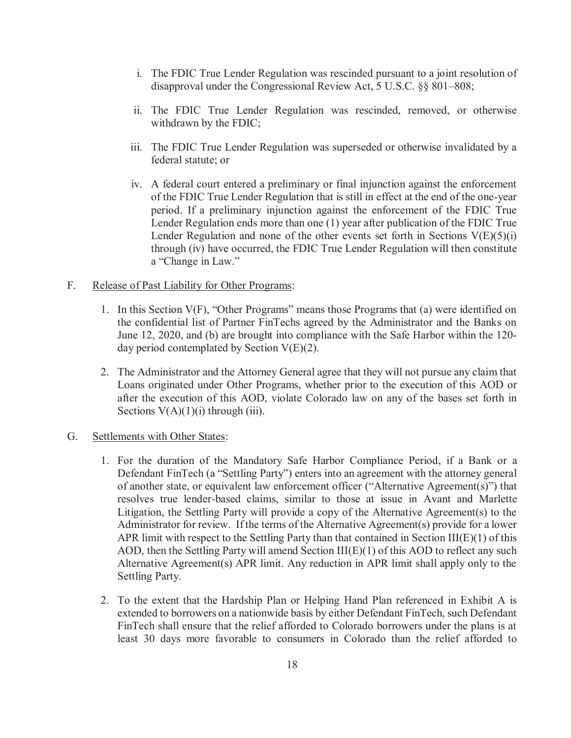- i. The FDIC True Lender Regulation was rescinded pursuant to a joint resolution of disapproval under the Congressional Review Act, 5 U.S.C. §§ 801–808;
- ii. The FDIC True Lender Regulation was rescinded, removed, or otherwise withdrawn by the FDIC;
- iii. The FDIC True Lender Regulation was superseded or otherwise invalidated by a federal statute; or
- iv. A federal court entered a preliminary or final injunction against the enforcement of the FDIC True Lender Regulation that is still in effect at the end of the one-year period. If a preliminary injunction against the enforcement of the FDIC True Lender Regulation ends more than one (1) year after publication of the FDIC True Lender Regulation and none of the other events set forth in Sections  $V(E)(5)(i)$ through (iv) have occurred, the FDIC True Lender Regulation will then constitute a "Change in Law."

## F. Release of Past Liability for Other Programs:

- 1. In this Section V(F), "Other Programs" means those Programs that (a) were identified on the confidential list of Partner FinTechs agreed by the Administrator and the Banks on June 12, 2020, and (b) are brought into compliance with the Safe Harbor within the 120 day period contemplated by Section  $V(E)(2)$ .
- 2. The Administrator and the Attorney General agree that they will not pursue any claim that Loans originated under Other Programs, whether prior to the execution of this AOD or after the execution of this AOD, violate Colorado law on any of the bases set forth in Sections  $V(A)(1)(i)$  through (iii).

## G. Settlements with Other States:

- 1. For the duration of the Mandatory Safe Harbor Compliance Period, if a Bank or a Defendant FinTech (a "Settling Party") enters into an agreement with the attorney general of another state, or equivalent law enforcement officer ("Alternative Agreement(s)") that resolves true lender-based claims, similar to those at issue in Avant and Marlette Litigation, the Settling Party will provide a copy of the Alternative Agreement(s) to the Administrator for review. If the terms of the Alternative Agreement(s) provide for a lower APR limit with respect to the Settling Party than that contained in Section  $III(E)(1)$  of this AOD, then the Settling Party will amend Section III(E)(1) of this AOD to reflect any such Alternative Agreement(s) APR limit. Any reduction in APR limit shall apply only to the Settling Party.
- 2. To the extent that the Hardship Plan or Helping Hand Plan referenced in Exhibit A is extended to borrowers on a nationwide basis by either Defendant FinTech, such Defendant FinTech shall ensure that the relief afforded to Colorado borrowers under the plans is at least 30 days more favorable to consumers in Colorado than the relief afforded to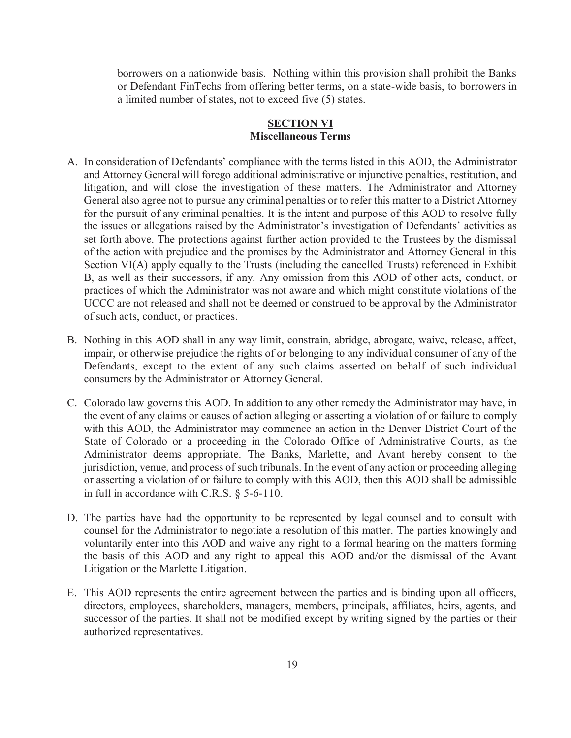borrowers on a nationwide basis. Nothing within this provision shall prohibit the Banks or Defendant FinTechs from offering better terms, on a state-wide basis, to borrowers in a limited number of states, not to exceed five (5) states.

## **SECTION VI Miscellaneous Terms**

- A. In consideration of Defendants' compliance with the terms listed in this AOD, the Administrator and Attorney General will forego additional administrative or injunctive penalties, restitution, and litigation, and will close the investigation of these matters. The Administrator and Attorney General also agree not to pursue any criminal penalties or to refer this matter to a District Attorney for the pursuit of any criminal penalties. It is the intent and purpose of this AOD to resolve fully the issues or allegations raised by the Administrator's investigation of Defendants' activities as set forth above. The protections against further action provided to the Trustees by the dismissal of the action with prejudice and the promises by the Administrator and Attorney General in this Section VI(A) apply equally to the Trusts (including the cancelled Trusts) referenced in Exhibit B, as well as their successors, if any. Any omission from this AOD of other acts, conduct, or practices of which the Administrator was not aware and which might constitute violations of the UCCC are not released and shall not be deemed or construed to be approval by the Administrator of such acts, conduct, or practices.
- B. Nothing in this AOD shall in any way limit, constrain, abridge, abrogate, waive, release, affect, impair, or otherwise prejudice the rights of or belonging to any individual consumer of any of the Defendants, except to the extent of any such claims asserted on behalf of such individual consumers by the Administrator or Attorney General.
- C. Colorado law governs this AOD. In addition to any other remedy the Administrator may have, in the event of any claims or causes of action alleging or asserting a violation of or failure to comply with this AOD, the Administrator may commence an action in the Denver District Court of the State of Colorado or a proceeding in the Colorado Office of Administrative Courts, as the Administrator deems appropriate. The Banks, Marlette, and Avant hereby consent to the jurisdiction, venue, and process of such tribunals. In the event of any action or proceeding alleging or asserting a violation of or failure to comply with this AOD, then this AOD shall be admissible in full in accordance with C.R.S. § 5-6-110.
- D. The parties have had the opportunity to be represented by legal counsel and to consult with counsel for the Administrator to negotiate a resolution of this matter. The parties knowingly and voluntarily enter into this AOD and waive any right to a formal hearing on the matters forming the basis of this AOD and any right to appeal this AOD and/or the dismissal of the Avant Litigation or the Marlette Litigation.
- E. This AOD represents the entire agreement between the parties and is binding upon all officers, directors, employees, shareholders, managers, members, principals, affiliates, heirs, agents, and successor of the parties. It shall not be modified except by writing signed by the parties or their authorized representatives.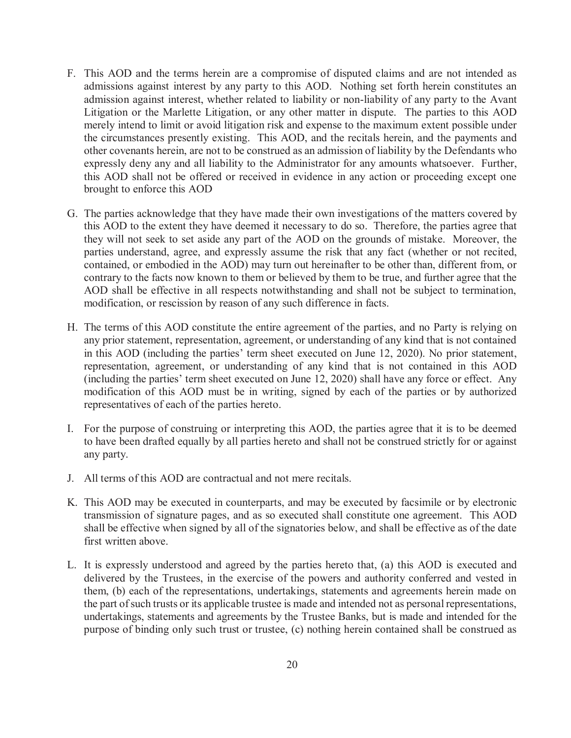- F. This AOD and the terms herein are a compromise of disputed claims and are not intended as admissions against interest by any party to this AOD. Nothing set forth herein constitutes an admission against interest, whether related to liability or non-liability of any party to the Avant Litigation or the Marlette Litigation, or any other matter in dispute. The parties to this AOD merely intend to limit or avoid litigation risk and expense to the maximum extent possible under the circumstances presently existing. This AOD, and the recitals herein, and the payments and other covenants herein, are not to be construed as an admission of liability by the Defendants who expressly deny any and all liability to the Administrator for any amounts whatsoever. Further, this AOD shall not be offered or received in evidence in any action or proceeding except one brought to enforce this AOD
- G. The parties acknowledge that they have made their own investigations of the matters covered by this AOD to the extent they have deemed it necessary to do so. Therefore, the parties agree that they will not seek to set aside any part of the AOD on the grounds of mistake. Moreover, the parties understand, agree, and expressly assume the risk that any fact (whether or not recited, contained, or embodied in the AOD) may turn out hereinafter to be other than, different from, or contrary to the facts now known to them or believed by them to be true, and further agree that the AOD shall be effective in all respects notwithstanding and shall not be subject to termination, modification, or rescission by reason of any such difference in facts.
- H. The terms of this AOD constitute the entire agreement of the parties, and no Party is relying on any prior statement, representation, agreement, or understanding of any kind that is not contained in this AOD (including the parties' term sheet executed on June 12, 2020). No prior statement, representation, agreement, or understanding of any kind that is not contained in this AOD (including the parties' term sheet executed on June 12, 2020) shall have any force or effect. Any modification of this AOD must be in writing, signed by each of the parties or by authorized representatives of each of the parties hereto.
- I. For the purpose of construing or interpreting this AOD, the parties agree that it is to be deemed to have been drafted equally by all parties hereto and shall not be construed strictly for or against any party.
- J. All terms of this AOD are contractual and not mere recitals.
- K. This AOD may be executed in counterparts, and may be executed by facsimile or by electronic transmission of signature pages, and as so executed shall constitute one agreement. This AOD shall be effective when signed by all of the signatories below, and shall be effective as of the date first written above.
- L. It is expressly understood and agreed by the parties hereto that, (a) this AOD is executed and delivered by the Trustees, in the exercise of the powers and authority conferred and vested in them, (b) each of the representations, undertakings, statements and agreements herein made on the part of such trusts or its applicable trustee is made and intended not as personal representations, undertakings, statements and agreements by the Trustee Banks, but is made and intended for the purpose of binding only such trust or trustee, (c) nothing herein contained shall be construed as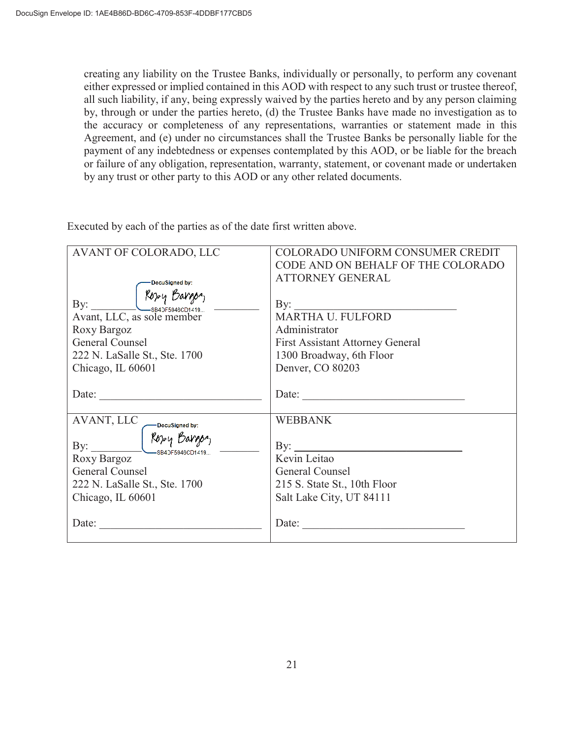creating any liability on the Trustee Banks, individually or personally, to perform any covenant either expressed or implied contained in this AOD with respect to any such trust or trustee thereof, all such liability, if any, being expressly waived by the parties hereto and by any person claiming by, through or under the parties hereto, (d) the Trustee Banks have made no investigation as to the accuracy or completeness of any representations, warranties or statement made in this Agreement, and (e) under no circumstances shall the Trustee Banks be personally liable for the payment of any indebtedness or expenses contemplated by this AOD, or be liable for the breach or failure of any obligation, representation, warranty, statement, or covenant made or undertaken by any trust or other party to this AOD or any other related documents.

Executed by each of the parties as of the date first written above.

| AVANT OF COLORADO, LLC                                                                                                                       | COLORADO UNIFORM CONSUMER CREDIT<br>CODE AND ON BEHALF OF THE COLORADO                                               |
|----------------------------------------------------------------------------------------------------------------------------------------------|----------------------------------------------------------------------------------------------------------------------|
| DocuSigned by:                                                                                                                               | <b>ATTORNEY GENERAL</b>                                                                                              |
| By:<br>Avant, LLC, as sole member<br>Roxy Bargoz<br>General Counsel<br>222 N. LaSalle St., Ste. 1700<br>Chicago, IL 60601                    | Administrator<br><b>First Assistant Attorney General</b><br>1300 Broadway, 6th Floor<br>Denver, CO 80203             |
| Date:                                                                                                                                        | Date:                                                                                                                |
| AVANT, LLC<br>-DocuSigned by:<br>Rozzy Bargon<br>By:<br>Roxy Bargoz<br>General Counsel<br>222 N. LaSalle St., Ste. 1700<br>Chicago, IL 60601 | <b>WEBBANK</b><br>By:<br>Kevin Leitao<br>General Counsel<br>215 S. State St., 10th Floor<br>Salt Lake City, UT 84111 |
| Date:                                                                                                                                        | Date:                                                                                                                |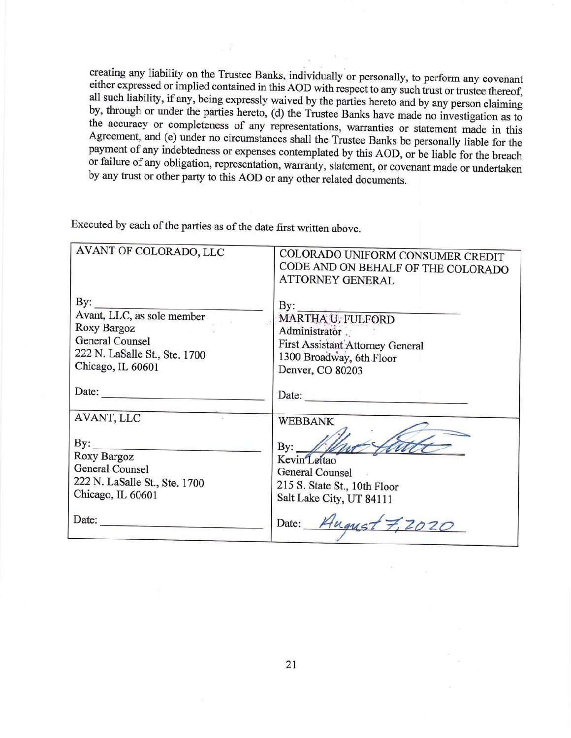creating any liability on the Trustee Banks, individually or personally, to perform any covenant either expressed or implied contained in this AOD with respect to any such trust or trustee thereof, all such liability, if any, being expressly waived by the parties hereto and by any person claiming by, through or under the parties hereto, (d) the Trustee Banks have made no investigation as to the accuracy or completeness of any representations, warranties or statement made in this Agreement, and (e) under no circumstances shall the Trustee Banks be personally liable for the payment of any indebtedness or expenses contemplated by this AOD, or be liable for the breach or failure of any obligation, representation, warranty, statement, or covenant made or undertaken by any trust or other party to this AOD or any other related documents.

Executed by each of the parties as of the date first written above.

| AVANT OF COLORADO, LLC                                                                                                               | COLORADO UNIFORM CONSUMER CREDIT<br>CODE AND ON BEHALF OF THE COLORADO<br><b>ATTORNEY GENERAL</b>                               |
|--------------------------------------------------------------------------------------------------------------------------------------|---------------------------------------------------------------------------------------------------------------------------------|
| $\mathbf{By:}$<br>Avant, LLC, as sole member<br>Roxy Bargoz<br>General Counsel<br>222 N. LaSalle St., Ste. 1700<br>Chicago, IL 60601 | By:<br>MARTHA U. FULFORD<br>Administrator.<br>First Assistant Attorney General<br>1300 Broadway, 6th Floor<br>Denver, CO 80203  |
| Date:                                                                                                                                | Date:                                                                                                                           |
| AVANT, LLC<br>$\mathbf{By:}$<br>Roxy Bargoz<br>General Counsel<br>222 N. LaSalle St., Ste. 1700<br>Chicago, IL 60601                 | <b>WEBBANK</b><br>$\mathbf{By:}$<br>Kevin Leitao<br>General Counsel<br>215 S. State St., 10th Floor<br>Salt Lake City, UT 84111 |
| Date:                                                                                                                                | Date: Hugust 7                                                                                                                  |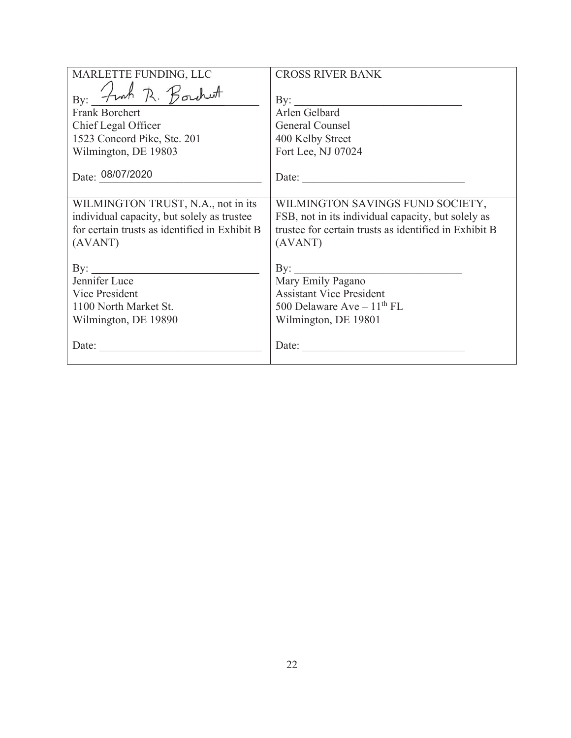| MARLETTE FUNDING, LLC                                                                                                              | <b>CROSS RIVER BANK</b>                                                                           |
|------------------------------------------------------------------------------------------------------------------------------------|---------------------------------------------------------------------------------------------------|
| By: <i>Fran</i> R. Borchest<br><b>Frank Borchert</b><br>Chief Legal Officer<br>1523 Concord Pike, Ste. 201<br>Wilmington, DE 19803 | By: $\qquad \qquad$<br>Arlen Gelbard<br>General Counsel<br>400 Kelby Street<br>Fort Lee, NJ 07024 |
| Date: 08/07/2020                                                                                                                   | Date:                                                                                             |
|                                                                                                                                    |                                                                                                   |
| WILMINGTON TRUST, N.A., not in its                                                                                                 | WILMINGTON SAVINGS FUND SOCIETY,                                                                  |
| individual capacity, but solely as trustee                                                                                         | FSB, not in its individual capacity, but solely as                                                |
| for certain trusts as identified in Exhibit B                                                                                      | trustee for certain trusts as identified in Exhibit B                                             |
| (AVANT)                                                                                                                            | (AVANT)                                                                                           |
| By: $\qquad \qquad$                                                                                                                | $\rm\,By:$                                                                                        |
| Jennifer Luce                                                                                                                      | Mary Emily Pagano                                                                                 |
| Vice President                                                                                                                     | <b>Assistant Vice President</b>                                                                   |
| 1100 North Market St.                                                                                                              | 500 Delaware Ave $-11^{th}$ FL                                                                    |
| Wilmington, DE 19890                                                                                                               | Wilmington, DE 19801                                                                              |
| Date:                                                                                                                              | Date:                                                                                             |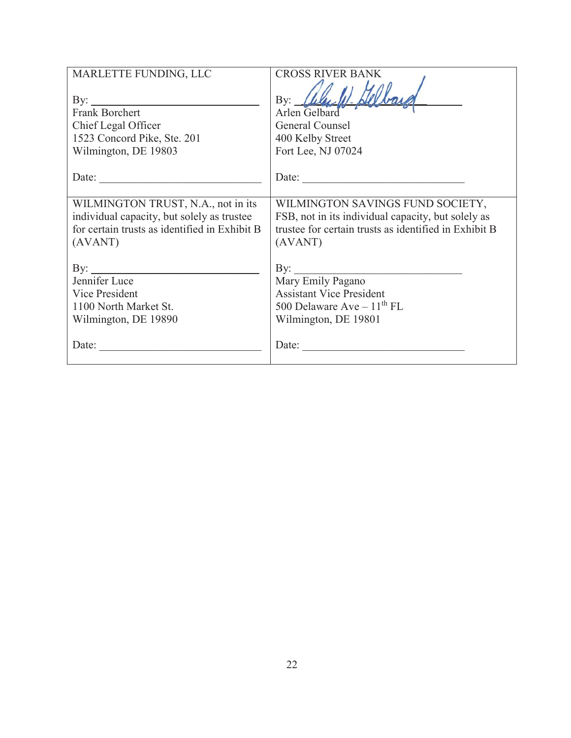| MARLETTE FUNDING, LLC                                                                                               | <b>CROSS RIVER BANK</b>                                                                                                             |
|---------------------------------------------------------------------------------------------------------------------|-------------------------------------------------------------------------------------------------------------------------------------|
| By: $\qquad \qquad$<br>Frank Borchert<br>Chief Legal Officer<br>1523 Concord Pike, Ste. 201<br>Wilmington, DE 19803 | $\mathbf{By:}$<br>Arlen Gelbard<br>General Counsel<br>400 Kelby Street<br>Fort Lee, NJ 07024                                        |
| Date:                                                                                                               | Date:                                                                                                                               |
|                                                                                                                     |                                                                                                                                     |
| WILMINGTON TRUST, N.A., not in its                                                                                  | WILMINGTON SAVINGS FUND SOCIETY,                                                                                                    |
| individual capacity, but solely as trustee                                                                          | FSB, not in its individual capacity, but solely as                                                                                  |
| for certain trusts as identified in Exhibit B                                                                       | trustee for certain trusts as identified in Exhibit B                                                                               |
| (AVANT)                                                                                                             | (AVANT)                                                                                                                             |
| By: $\qquad \qquad$<br>Jennifer Luce<br>Vice President<br>1100 North Market St.<br>Wilmington, DE 19890             | $\rm\,By:$<br>Mary Emily Pagano<br><b>Assistant Vice President</b><br>500 Delaware Ave $-11^{\text{th}}$ FL<br>Wilmington, DE 19801 |
| Date:                                                                                                               | Date:                                                                                                                               |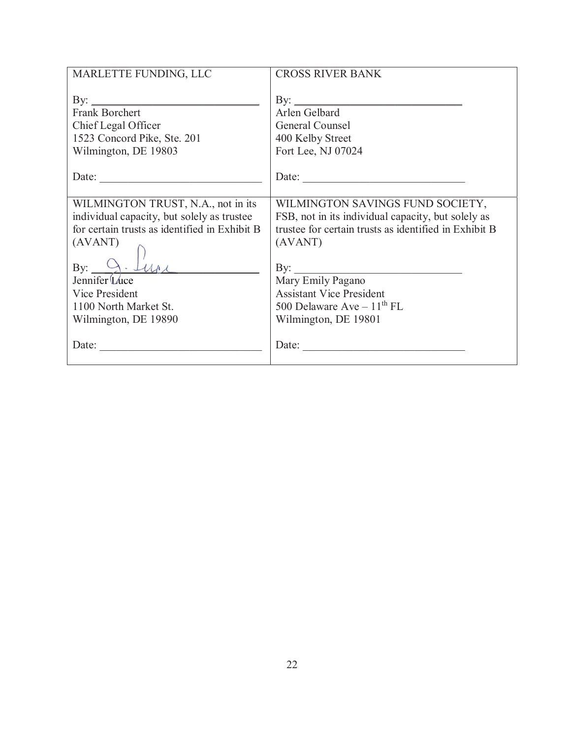| MARLETTE FUNDING, LLC                         | <b>CROSS RIVER BANK</b>                               |
|-----------------------------------------------|-------------------------------------------------------|
| $\mathbf{B}$ y:                               |                                                       |
| <b>Frank Borchert</b>                         | Arlen Gelbard                                         |
| Chief Legal Officer                           | General Counsel                                       |
| 1523 Concord Pike, Ste. 201                   | 400 Kelby Street                                      |
| Wilmington, DE 19803                          | Fort Lee, NJ 07024                                    |
| Date:                                         | Date:                                                 |
| WILMINGTON TRUST, N.A., not in its            | WILMINGTON SAVINGS FUND SOCIETY,                      |
| individual capacity, but solely as trustee    | FSB, not in its individual capacity, but solely as    |
| for certain trusts as identified in Exhibit B | trustee for certain trusts as identified in Exhibit B |
| (AVANT)                                       | (AVANT)                                               |
| $\mathbf{B} \mathbf{v}$ :                     | By:                                                   |
| Jennifer Luce                                 | Mary Emily Pagano                                     |
| Vice President                                | <b>Assistant Vice President</b>                       |
| 1100 North Market St.                         | 500 Delaware Ave $-11^{\text{th}}$ FL                 |
| Wilmington, DE 19890                          | Wilmington, DE 19801                                  |
| Date:                                         | Date:                                                 |
| <u> 1980 - Jan Barbara Barbara, m</u>         | <u> 1980 - Jan James James Barbara, martin d</u>      |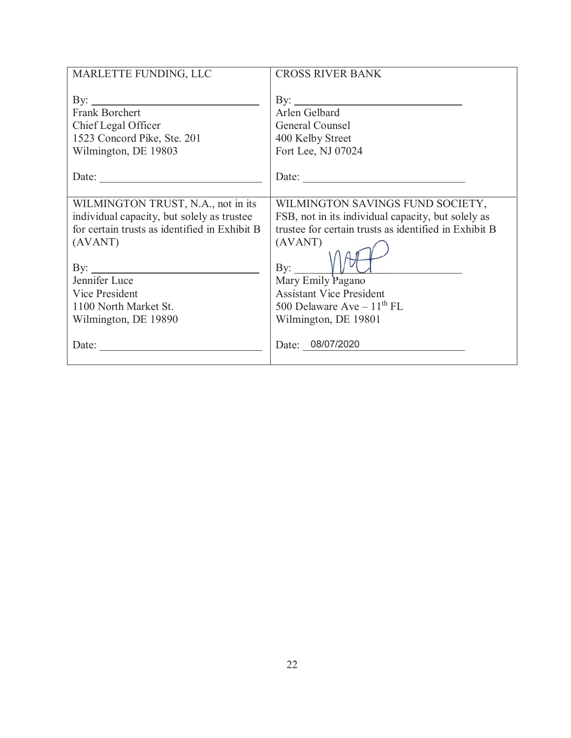| MARLETTE FUNDING, LLC                         | <b>CROSS RIVER BANK</b>                               |
|-----------------------------------------------|-------------------------------------------------------|
|                                               |                                                       |
| By: $\qquad \qquad$                           | By: $\qquad \qquad$                                   |
| <b>Frank Borchert</b>                         | Arlen Gelbard                                         |
| Chief Legal Officer                           | General Counsel                                       |
| 1523 Concord Pike, Ste. 201                   | 400 Kelby Street                                      |
| Wilmington, DE 19803                          | Fort Lee, NJ 07024                                    |
|                                               |                                                       |
| Date:                                         | Date:                                                 |
|                                               |                                                       |
| WILMINGTON TRUST, N.A., not in its            | WILMINGTON SAVINGS FUND SOCIETY,                      |
| individual capacity, but solely as trustee    | FSB, not in its individual capacity, but solely as    |
| for certain trusts as identified in Exhibit B | trustee for certain trusts as identified in Exhibit B |
| (AVANT)                                       | (AVANT)                                               |
|                                               |                                                       |
| By: $\qquad \qquad$                           | By:                                                   |
| Jennifer Luce                                 | Mary Emily Pagano                                     |
| Vice President                                | <b>Assistant Vice President</b>                       |
| 1100 North Market St.                         | 500 Delaware Ave $-11^{\text{th}}$ FL                 |
| Wilmington, DE 19890                          | Wilmington, DE 19801                                  |
|                                               |                                                       |
| Date:                                         | Date: 08/07/2020                                      |
|                                               |                                                       |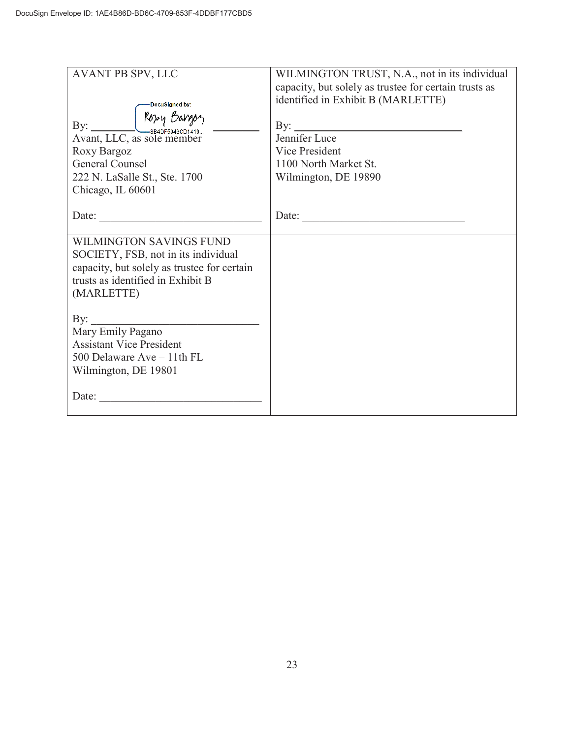| AVANT PB SPV, LLC                           | WILMINGTON TRUST, N.A., not in its individual<br>capacity, but solely as trustee for certain trusts as<br>identified in Exhibit B (MARLETTE) |
|---------------------------------------------|----------------------------------------------------------------------------------------------------------------------------------------------|
| DocuSigned by:                              |                                                                                                                                              |
| Roxy Bargon<br>By: $\qquad \qquad$          | $\mathbf{B}$ y:                                                                                                                              |
| Avant, LLC, as sole member                  | Jennifer Luce                                                                                                                                |
| Roxy Bargoz                                 | Vice President                                                                                                                               |
| General Counsel                             | 1100 North Market St.                                                                                                                        |
|                                             |                                                                                                                                              |
| 222 N. LaSalle St., Ste. 1700               | Wilmington, DE 19890                                                                                                                         |
| Chicago, IL 60601                           |                                                                                                                                              |
|                                             |                                                                                                                                              |
| Date: $\qquad \qquad$                       | Date:                                                                                                                                        |
| <b>WILMINGTON SAVINGS FUND</b>              |                                                                                                                                              |
| SOCIETY, FSB, not in its individual         |                                                                                                                                              |
| capacity, but solely as trustee for certain |                                                                                                                                              |
| trusts as identified in Exhibit B           |                                                                                                                                              |
| (MARLETTE)                                  |                                                                                                                                              |
|                                             |                                                                                                                                              |
| By:                                         |                                                                                                                                              |
| Mary Emily Pagano                           |                                                                                                                                              |
| <b>Assistant Vice President</b>             |                                                                                                                                              |
| 500 Delaware Ave - 11th FL                  |                                                                                                                                              |
|                                             |                                                                                                                                              |
| Wilmington, DE 19801                        |                                                                                                                                              |
|                                             |                                                                                                                                              |
| Date:                                       |                                                                                                                                              |
|                                             |                                                                                                                                              |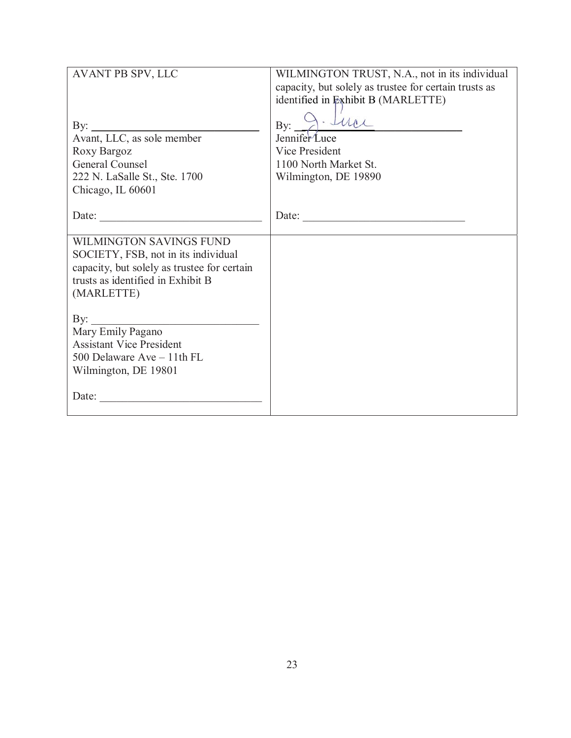| AVANT PB SPV, LLC                           | WILMINGTON TRUST, N.A., not in its individual         |
|---------------------------------------------|-------------------------------------------------------|
|                                             | capacity, but solely as trustee for certain trusts as |
|                                             | identified in Exhibit B (MARLETTE)                    |
|                                             |                                                       |
| By:                                         | · that<br>$\mathbf{By:}$                              |
| Avant, LLC, as sole member                  | Jennifer Luce                                         |
| Roxy Bargoz                                 | Vice President                                        |
| General Counsel                             | 1100 North Market St.                                 |
| 222 N. LaSalle St., Ste. 1700               | Wilmington, DE 19890                                  |
| Chicago, IL 60601                           |                                                       |
|                                             |                                                       |
| Date:                                       | Date:                                                 |
|                                             |                                                       |
| WILMINGTON SAVINGS FUND                     |                                                       |
| SOCIETY, FSB, not in its individual         |                                                       |
| capacity, but solely as trustee for certain |                                                       |
| trusts as identified in Exhibit B           |                                                       |
| (MARLETTE)                                  |                                                       |
|                                             |                                                       |
| $\gamma$ :                                  |                                                       |
| Mary Emily Pagano                           |                                                       |
| <b>Assistant Vice President</b>             |                                                       |
| 500 Delaware Ave - 11th FL                  |                                                       |
| Wilmington, DE 19801                        |                                                       |
|                                             |                                                       |
| Date:                                       |                                                       |
|                                             |                                                       |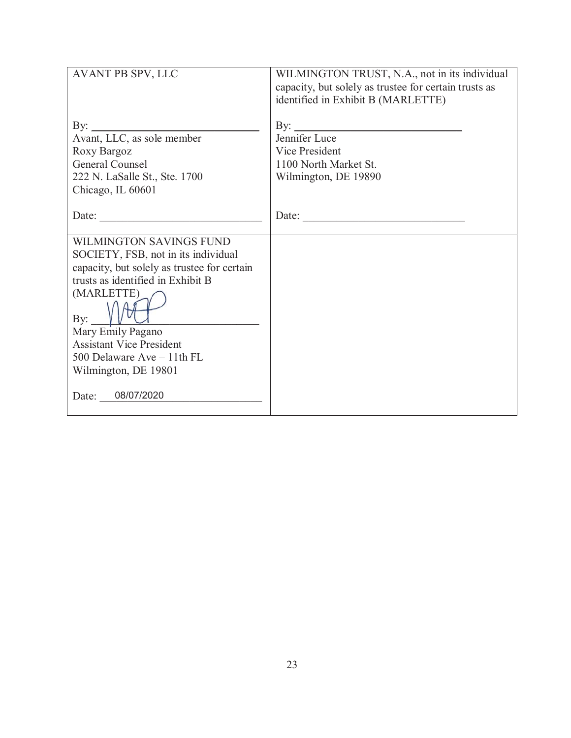| AVANT PB SPV, LLC                                                                                                                                                                                                                                                                                                   | WILMINGTON TRUST, N.A., not in its individual<br>capacity, but solely as trustee for certain trusts as<br>identified in Exhibit B (MARLETTE) |
|---------------------------------------------------------------------------------------------------------------------------------------------------------------------------------------------------------------------------------------------------------------------------------------------------------------------|----------------------------------------------------------------------------------------------------------------------------------------------|
| By:<br>Avant, LLC, as sole member<br>Roxy Bargoz<br><b>General Counsel</b><br>222 N. LaSalle St., Ste. 1700<br>Chicago, IL 60601                                                                                                                                                                                    | $\mathbf{B}$ y:<br>Jennifer Luce<br>Vice President<br>1100 North Market St.<br>Wilmington, DE 19890                                          |
| Date:                                                                                                                                                                                                                                                                                                               | Date:                                                                                                                                        |
| <b>WILMINGTON SAVINGS FUND</b><br>SOCIETY, FSB, not in its individual<br>capacity, but solely as trustee for certain<br>trusts as identified in Exhibit B<br>(MARLETTE)<br>By:<br>Mary Emily Pagano<br><b>Assistant Vice President</b><br>500 Delaware Ave - 11th FL<br>Wilmington, DE 19801<br>08/07/2020<br>Date: |                                                                                                                                              |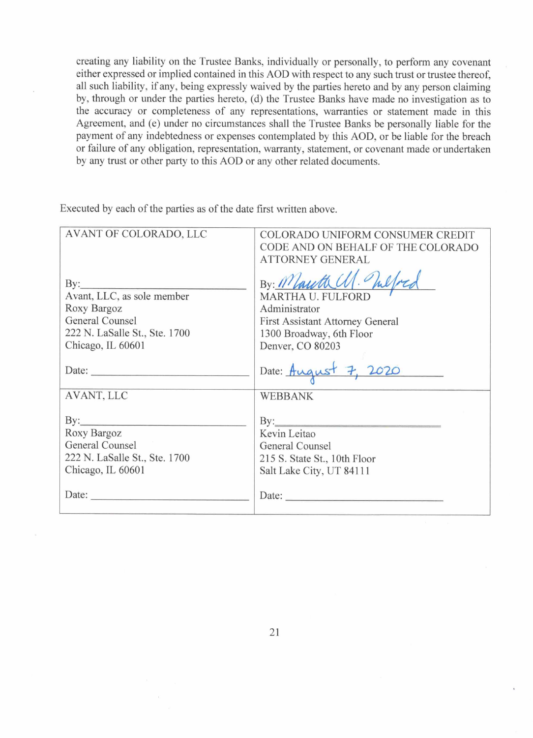creating any liability on the Trustee Banks, individually or personally, to perform any covenant either expressed or implied contained in this AOD with respect to any such trust or trustee thereof, all such liability, if any, being expressly waived by the parties hereto and by any person claiming by, through or under the parties hereto, (d) the Trustee Banks have made no investigation as to the accuracy or completeness of any representations, warranties or statement made in this Agreement, and (e) under no circumstances shall the Trustee Banks be personally liable for the payment of any indebtedness or expenses contemplated by this AOD, or be liable for the breach or failure of any obligation, representation, warranty, statement, or covenant made or undertaken by any trust or other party to this AOD or any other related documents.

Executed by each of the parties as of the date first written above.

| AVANT OF COLORADO, LLC                                                                                                          | COLORADO UNIFORM CONSUMER CREDIT<br>CODE AND ON BEHALF OF THE COLORADO<br><b>ATTORNEY GENERAL</b>                                         |
|---------------------------------------------------------------------------------------------------------------------------------|-------------------------------------------------------------------------------------------------------------------------------------------|
| $\rm By:$<br>Avant, LLC, as sole member<br>Roxy Bargoz<br>General Counsel<br>222 N. LaSalle St., Ste. 1700<br>Chicago, IL 60601 | By: Mauth U. In<br>MARTHA U. FULFORD<br>Administrator<br>First Assistant Attorney General<br>1300 Broadway, 6th Floor<br>Denver, CO 80203 |
|                                                                                                                                 | Date: August 7, 2020                                                                                                                      |
| AVANT, LLC<br>Roxy Bargoz<br>General Counsel<br>222 N. LaSalle St., Ste. 1700<br>Chicago, IL 60601                              | <b>WEBBANK</b><br>Kevin Leitao<br>General Counsel<br>215 S. State St., 10th Floor<br>Salt Lake City, UT 84111                             |
| Date:                                                                                                                           | Date:                                                                                                                                     |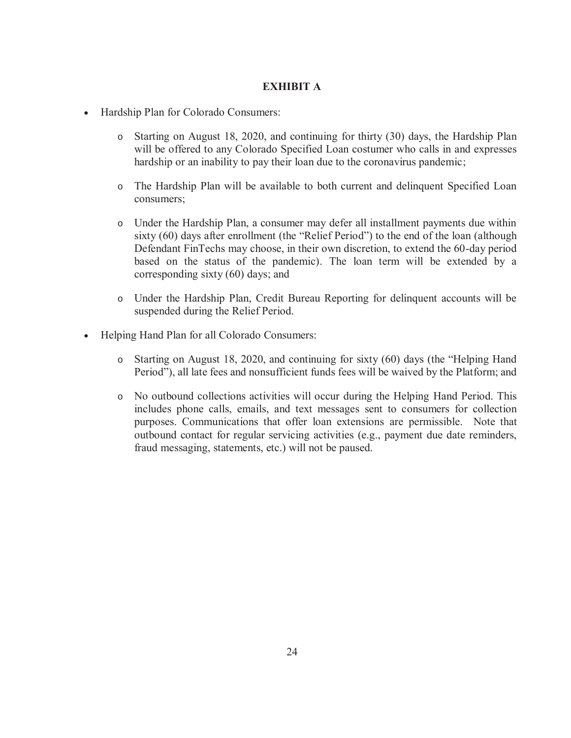# **EXHIBIT A**

- Hardship Plan for Colorado Consumers:
	- o Starting on August 18, 2020, and continuing for thirty (30) days, the Hardship Plan will be offered to any Colorado Specified Loan costumer who calls in and expresses hardship or an inability to pay their loan due to the coronavirus pandemic;
	- o The Hardship Plan will be available to both current and delinquent Specified Loan consumers;
	- o Under the Hardship Plan, a consumer may defer all installment payments due within sixty (60) days after enrollment (the "Relief Period") to the end of the loan (although Defendant FinTechs may choose, in their own discretion, to extend the 60-day period based on the status of the pandemic). The loan term will be extended by a corresponding sixty (60) days; and
	- o Under the Hardship Plan, Credit Bureau Reporting for delinquent accounts will be suspended during the Relief Period.
- Helping Hand Plan for all Colorado Consumers:
	- o Starting on August 18, 2020, and continuing for sixty (60) days (the "Helping Hand Period"), all late fees and nonsufficient funds fees will be waived by the Platform; and
	- o No outbound collections activities will occur during the Helping Hand Period. This includes phone calls, emails, and text messages sent to consumers for collection purposes. Communications that offer loan extensions are permissible. Note that outbound contact for regular servicing activities (e.g., payment due date reminders, fraud messaging, statements, etc.) will not be paused.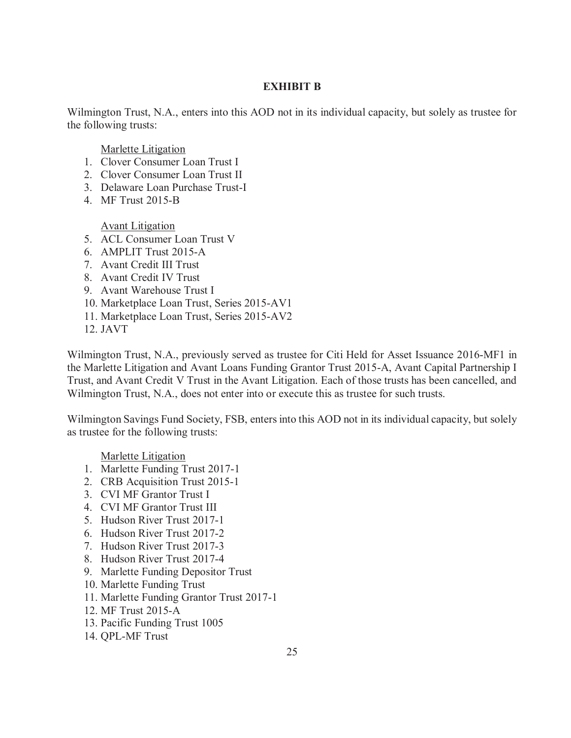## **EXHIBIT B**

Wilmington Trust, N.A., enters into this AOD not in its individual capacity, but solely as trustee for the following trusts:

Marlette Litigation

- 1. Clover Consumer Loan Trust I
- 2. Clover Consumer Loan Trust II
- 3. Delaware Loan Purchase Trust-I
- 4. MF Trust 2015-B

Avant Litigation

- 5. ACL Consumer Loan Trust V
- 6. AMPLIT Trust 2015-A
- 7. Avant Credit III Trust
- 8. Avant Credit IV Trust
- 9. Avant Warehouse Trust I
- 10. Marketplace Loan Trust, Series 2015-AV1
- 11. Marketplace Loan Trust, Series 2015-AV2
- 12. JAVT

Wilmington Trust, N.A., previously served as trustee for Citi Held for Asset Issuance 2016-MF1 in the Marlette Litigation and Avant Loans Funding Grantor Trust 2015-A, Avant Capital Partnership I Trust, and Avant Credit V Trust in the Avant Litigation. Each of those trusts has been cancelled, and Wilmington Trust, N.A., does not enter into or execute this as trustee for such trusts.

Wilmington Savings Fund Society, FSB, enters into this AOD not in its individual capacity, but solely as trustee for the following trusts:

Marlette Litigation

- 1. Marlette Funding Trust 2017-1
- 2. CRB Acquisition Trust 2015-1
- 3. CVI MF Grantor Trust I
- 4. CVI MF Grantor Trust III
- 5. Hudson River Trust 2017-1
- 6. Hudson River Trust 2017-2
- 7. Hudson River Trust 2017-3
- 8. Hudson River Trust 2017-4
- 9. Marlette Funding Depositor Trust
- 10. Marlette Funding Trust
- 11. Marlette Funding Grantor Trust 2017-1
- 12. MF Trust 2015-A
- 13. Pacific Funding Trust 1005
- 14. QPL-MF Trust